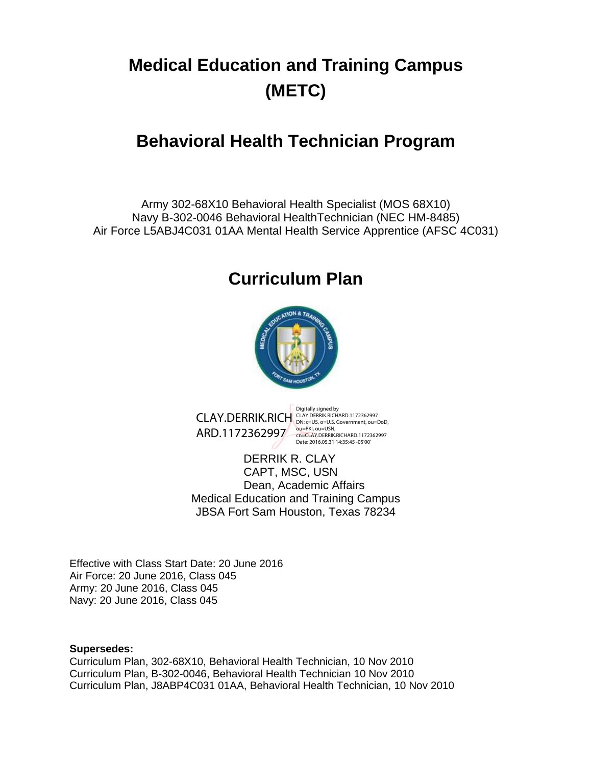# <span id="page-0-1"></span><span id="page-0-0"></span>**Medical Education and Training Campus (METC)**

# **Behavioral Health Technician Program**

Army 302-68X10 Behavioral Health Specialist (MOS 68X10) Navy B-302-0046 Behavioral HealthTechnician (NEC HM-8485) Air Force L5ABJ4C031 01AA Mental Health Service Apprentice (AFSC 4C031)

# **Curriculum Plan**



CLAY.DERRIK.RICH CLAY.DERRIK.RICHARD.1172362997 ARD.1172362997 <sub>COLIPKI, OUI</sub>USN, ARD.1172362997

Digitally signed by

DERRIK R. CLAY CAPT, MSC, USN Dean, Academic Affairs Medical Education and Training Campus JBSA Fort Sam Houston, Texas 78234

Effective with Class Start Date: 20 June 2016 Air Force: 20 June 2016, Class 045 Army: 20 June 2016, Class 045 Navy: 20 June 2016, Class 045

#### **Supersedes:**

Curriculum Plan, 302-68X10, Behavioral Health Technician, 10 Nov 2010 Curriculum Plan, B-302-0046, Behavioral Health Technician 10 Nov 2010 Curriculum Plan, J8ABP4C031 01AA, Behavioral Health Technician, 10 Nov 2010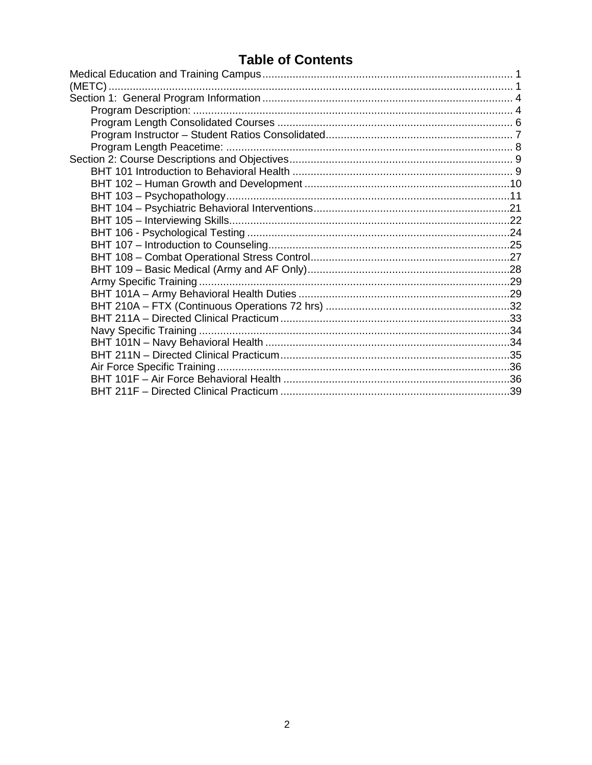# **Table of Contents**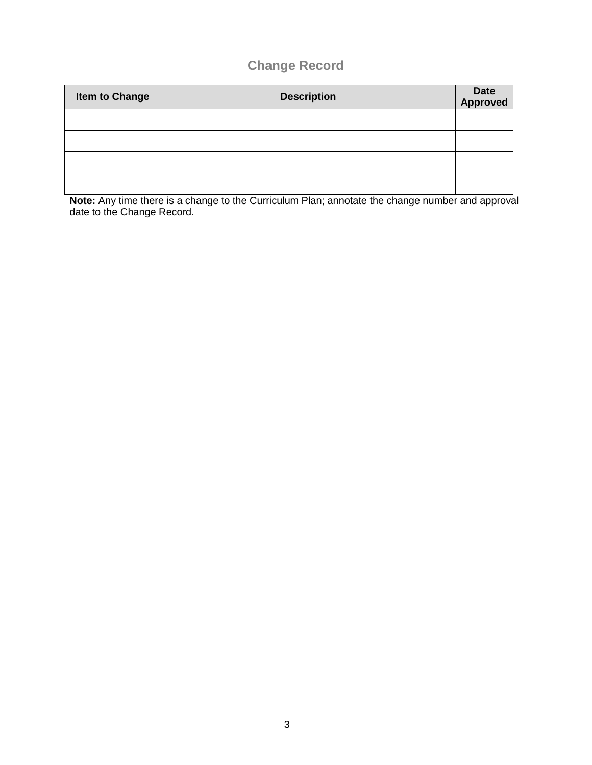# **Change Record**

| <b>Item to Change</b> | <b>Description</b> | Date<br>Approved |
|-----------------------|--------------------|------------------|
|                       |                    |                  |
|                       |                    |                  |
|                       |                    |                  |
|                       |                    |                  |

**Note:** Any time there is a change to the Curriculum Plan; annotate the change number and approval date to the Change Record.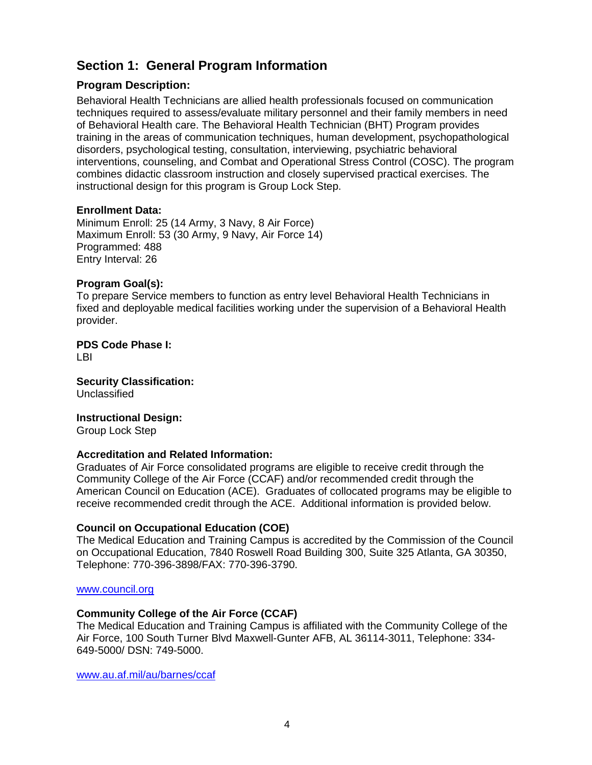# <span id="page-3-0"></span>**Section 1: General Program Information**

## <span id="page-3-1"></span>**Program Description:**

Behavioral Health Technicians are allied health professionals focused on communication techniques required to assess/evaluate military personnel and their family members in need of Behavioral Health care. The Behavioral Health Technician (BHT) Program provides training in the areas of communication techniques, human development, psychopathological disorders, psychological testing, consultation, interviewing, psychiatric behavioral interventions, counseling, and Combat and Operational Stress Control (COSC). The program combines didactic classroom instruction and closely supervised practical exercises. The instructional design for this program is Group Lock Step.

#### **Enrollment Data:**

Minimum Enroll: 25 (14 Army, 3 Navy, 8 Air Force) Maximum Enroll: 53 (30 Army, 9 Navy, Air Force 14) Programmed: 488 Entry Interval: 26

#### **Program Goal(s):**

To prepare Service members to function as entry level Behavioral Health Technicians in fixed and deployable medical facilities working under the supervision of a Behavioral Health provider.

**PDS Code Phase I:**  LBI

**Security Classification:** Unclassified

#### **Instructional Design:**

Group Lock Step

#### **Accreditation and Related Information:**

Graduates of Air Force consolidated programs are eligible to receive credit through the Community College of the Air Force (CCAF) and/or recommended credit through the American Council on Education (ACE). Graduates of collocated programs may be eligible to receive recommended credit through the ACE. Additional information is provided below.

#### **Council on Occupational Education (COE)**

The Medical Education and Training Campus is accredited by the Commission of the Council on Occupational Education, 7840 Roswell Road Building 300, Suite 325 Atlanta, GA 30350, Telephone: 770-396-3898/FAX: 770-396-3790.

#### [www.council.org](http://www.council.org/)

#### **Community College of the Air Force (CCAF)**

The Medical Education and Training Campus is affiliated with the Community College of the Air Force, 100 South Turner Blvd Maxwell-Gunter AFB, AL 36114-3011, Telephone: 334- 649-5000/ DSN: 749-5000.

[www.au.af.mil/au/barnes/ccaf](http://www.au.af.mil/au/barnes/ccaf)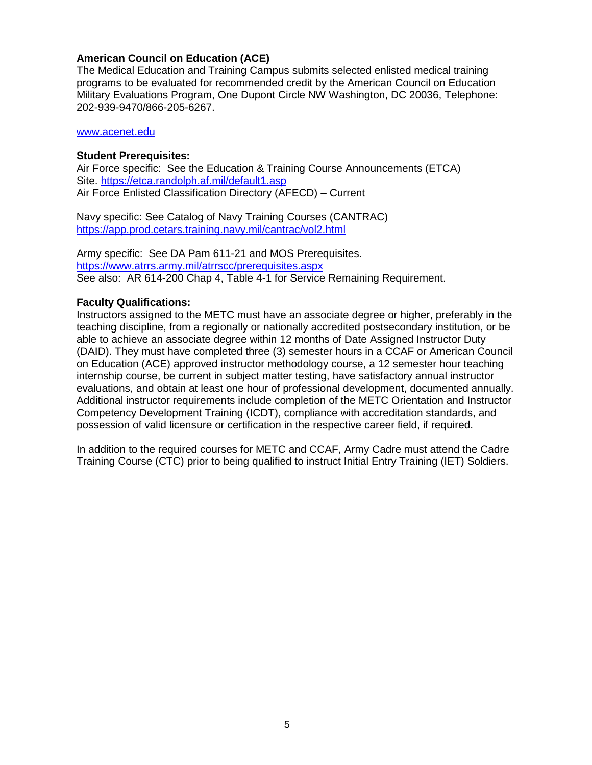#### **American Council on Education (ACE)**

The Medical Education and Training Campus submits selected enlisted medical training programs to be evaluated for recommended credit by the American Council on Education Military Evaluations Program, One Dupont Circle NW Washington, DC 20036, Telephone: 202-939-9470/866-205-6267.

#### [www.acenet.edu](http://www.acenet.edu/)

#### **Student Prerequisites:**

Air Force specific: See the Education & Training Course Announcements (ETCA) Site. <https://etca.randolph.af.mil/default1.asp> Air Force Enlisted Classification Directory (AFECD) – Current

Navy specific: See Catalog of Navy Training Courses (CANTRAC) <https://app.prod.cetars.training.navy.mil/cantrac/vol2.html>

Army specific: See DA Pam 611-21 and MOS Prerequisites. <https://www.atrrs.army.mil/atrrscc/prerequisites.aspx> See also: AR 614-200 Chap 4, Table 4-1 for Service Remaining Requirement.

#### **Faculty Qualifications:**

Instructors assigned to the METC must have an associate degree or higher, preferably in the teaching discipline, from a regionally or nationally accredited postsecondary institution, or be able to achieve an associate degree within 12 months of Date Assigned Instructor Duty (DAID). They must have completed three (3) semester hours in a CCAF or American Council on Education (ACE) approved instructor methodology course, a 12 semester hour teaching internship course, be current in subject matter testing, have satisfactory annual instructor evaluations, and obtain at least one hour of professional development, documented annually. Additional instructor requirements include completion of the METC Orientation and Instructor Competency Development Training (ICDT), compliance with accreditation standards, and possession of valid licensure or certification in the respective career field, if required.

In addition to the required courses for METC and CCAF, Army Cadre must attend the Cadre Training Course (CTC) prior to being qualified to instruct Initial Entry Training (IET) Soldiers.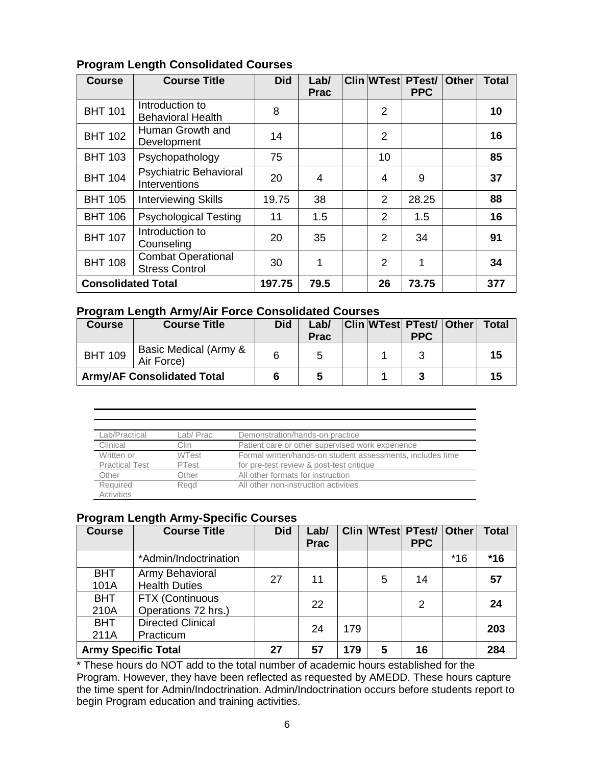| <b>Course</b>             | <b>Course Title</b>                                | <b>Did</b> | Lab/<br><b>Prac</b> |                | <b>Clin WTest PTest/</b><br><b>PPC</b> | <b>Other</b> | <b>Total</b> |
|---------------------------|----------------------------------------------------|------------|---------------------|----------------|----------------------------------------|--------------|--------------|
| <b>BHT 101</b>            | Introduction to<br><b>Behavioral Health</b>        | 8          |                     | $\overline{2}$ |                                        |              | 10           |
| <b>BHT 102</b>            | Human Growth and<br>Development                    | 14         |                     | $\overline{2}$ |                                        |              | 16           |
| <b>BHT 103</b>            | Psychopathology                                    | 75         |                     | 10             |                                        |              | 85           |
| <b>BHT 104</b>            | <b>Psychiatric Behavioral</b><br>Interventions     | 20         | 4                   | $\overline{4}$ | 9                                      |              | 37           |
| <b>BHT 105</b>            | <b>Interviewing Skills</b>                         | 19.75      | 38                  | $\overline{2}$ | 28.25                                  |              | 88           |
| <b>BHT 106</b>            | <b>Psychological Testing</b>                       | 11         | 1.5                 | $\overline{2}$ | 1.5                                    |              | 16           |
| <b>BHT 107</b>            | Introduction to<br>Counseling                      | 20         | 35                  | $\overline{2}$ | 34                                     |              | 91           |
| <b>BHT 108</b>            | <b>Combat Operational</b><br><b>Stress Control</b> | 30         | 1                   | $\overline{2}$ | 1                                      |              | 34           |
| <b>Consolidated Total</b> |                                                    | 197.75     | 79.5                | 26             | 73.75                                  |              | 377          |

# <span id="page-5-0"></span>**Program Length Consolidated Courses**

# **Program Length Army/Air Force Consolidated Courses**

| <b>Course</b>  | <b>Course Title</b>                 | <b>Did</b> | Lab/<br><b>Prac</b> |  | <b>Clin WTest PTest/ Other</b><br><b>PPC</b> | <b>Total</b> |
|----------------|-------------------------------------|------------|---------------------|--|----------------------------------------------|--------------|
| <b>BHT 109</b> | Basic Medical (Army &<br>Air Force) |            |                     |  |                                              | 15           |
|                | <b>Army/AF Consolidated Total</b>   |            |                     |  |                                              | 15           |

| Lab/Practical         | Lab/ Prac    | Demonstration/hands-on practice                            |
|-----------------------|--------------|------------------------------------------------------------|
| Clinical              | Clin         | Patient care or other supervised work experience           |
| Written or            | <b>WTest</b> | Formal written/hands-on student assessments, includes time |
| <b>Practical Test</b> | PTest        | for pre-test review & post-test critique                   |
| Other                 | Other        | All other formats for instruction                          |
| Required              | Read         | All other non-instruction activities                       |
| Activities            |              |                                                            |

# **Program Length Army-Specific Courses**

| <b>Course</b>              | <b>Course Title</b>                     | <b>Did</b> | Lab/<br><b>Prac</b> |     |   | <b>Clin WTest PTest/</b><br><b>PPC</b> | <b>Other</b> | Total |
|----------------------------|-----------------------------------------|------------|---------------------|-----|---|----------------------------------------|--------------|-------|
|                            | *Admin/Indoctrination                   |            |                     |     |   |                                        | $*16$        | $*16$ |
| <b>BHT</b><br>101A         | Army Behavioral<br><b>Health Duties</b> | 27         | 11                  |     | 5 | 14                                     |              | 57    |
| <b>BHT</b><br>210A         | FTX (Continuous<br>Operations 72 hrs.)  |            | 22                  |     |   | 2                                      |              | 24    |
| <b>BHT</b><br>211A         | <b>Directed Clinical</b><br>Practicum   |            | 24                  | 179 |   |                                        |              | 203   |
| <b>Army Specific Total</b> |                                         | 27         | 57                  | 179 | 5 | 16                                     |              | 284   |

\* These hours do NOT add to the total number of academic hours established for the Program. However, they have been reflected as requested by AMEDD. These hours capture the time spent for Admin/Indoctrination. Admin/Indoctrination occurs before students report to begin Program education and training activities.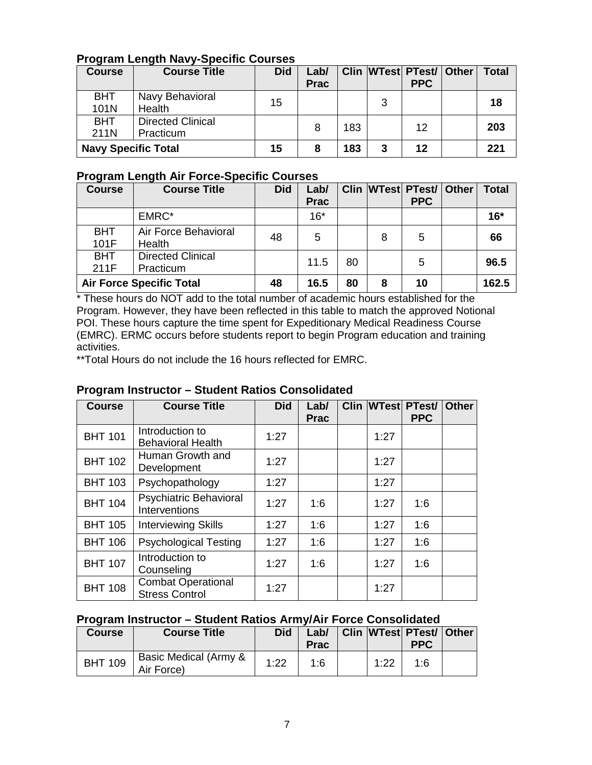# **Program Length Navy-Specific Courses**

| <b>Course</b>              | <b>Course Title</b>                   | <b>Did</b> | Lab/<br><b>Prac</b> |     |   | Clin WTest PTest/ Other<br><b>PPC</b> | <b>Total</b> |
|----------------------------|---------------------------------------|------------|---------------------|-----|---|---------------------------------------|--------------|
| <b>BHT</b><br>101N         | Navy Behavioral<br>Health             | 15         |                     |     | 3 |                                       | 18           |
| <b>BHT</b><br>211N         | <b>Directed Clinical</b><br>Practicum |            | 8                   | 183 |   | 12                                    | 203          |
| <b>Navy Specific Total</b> |                                       | 15         |                     | 183 | 3 | 12                                    | 221          |

# **Program Length Air Force-Specific Courses**

| <b>Course</b>      | <b>Course Title</b>                   | <b>Did</b> | Lab/<br><b>Prac</b> |    |   | Clin WTest PTest/<br><b>PPC</b> | <b>Other</b> | <b>Total</b> |
|--------------------|---------------------------------------|------------|---------------------|----|---|---------------------------------|--------------|--------------|
|                    | EMRC*                                 |            | $16*$               |    |   |                                 |              | $16*$        |
| <b>BHT</b><br>101F | Air Force Behavioral<br>Health        | 48         | 5                   |    | 8 | 5                               |              | 66           |
| <b>BHT</b><br>211F | <b>Directed Clinical</b><br>Practicum |            | 11.5                | 80 |   | 5                               |              | 96.5         |
|                    | <b>Air Force Specific Total</b>       | 48         | 16.5                | 80 | 8 | 10                              |              | 162.5        |

\* These hours do NOT add to the total number of academic hours established for the Program. However, they have been reflected in this table to match the approved Notional POI. These hours capture the time spent for Expeditionary Medical Readiness Course (EMRC). ERMC occurs before students report to begin Program education and training activities.

\*\*Total Hours do not include the 16 hours reflected for EMRC.

# <span id="page-6-0"></span>**Program Instructor – Student Ratios Consolidated**

| <b>Course</b>  | <b>Course Title</b>                                | <b>Did</b> | Lab/<br><b>Prac</b> |      | <b>Clin WTest PTest/</b><br><b>PPC</b> | <b>Other</b> |
|----------------|----------------------------------------------------|------------|---------------------|------|----------------------------------------|--------------|
| <b>BHT 101</b> | Introduction to<br><b>Behavioral Health</b>        | 1:27       |                     | 1:27 |                                        |              |
| <b>BHT 102</b> | Human Growth and<br>Development                    | 1:27       |                     | 1:27 |                                        |              |
| <b>BHT 103</b> | Psychopathology                                    | 1:27       |                     | 1:27 |                                        |              |
| <b>BHT 104</b> | <b>Psychiatric Behavioral</b><br>Interventions     | 1:27       | 1:6                 | 1:27 | 1:6                                    |              |
| <b>BHT 105</b> | <b>Interviewing Skills</b>                         | 1:27       | 1:6                 | 1:27 | 1:6                                    |              |
| <b>BHT 106</b> | <b>Psychological Testing</b>                       | 1:27       | 1:6                 | 1:27 | 1:6                                    |              |
| <b>BHT 107</b> | Introduction to<br>Counseling                      | 1:27       | 1:6                 | 1:27 | 1:6                                    |              |
| <b>BHT 108</b> | <b>Combat Operational</b><br><b>Stress Control</b> | 1:27       |                     | 1:27 |                                        |              |

# **Program Instructor – Student Ratios Army/Air Force Consolidated**

| <b>Course</b>  | <b>Course Title</b>                 | <b>Did</b> | Lab/<br><b>Prac</b> |      | <b>Clin WTest PTest/ Other</b><br><b>PPC</b> |  |
|----------------|-------------------------------------|------------|---------------------|------|----------------------------------------------|--|
| <b>BHT 109</b> | Basic Medical (Army &<br>Air Force) | 1:22       | 1:6                 | 1:22 | 1:6                                          |  |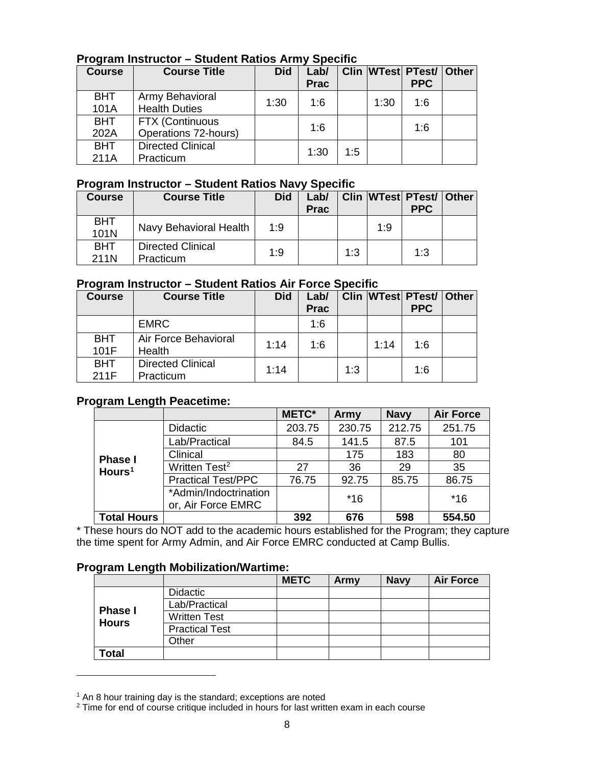# **Program Instructor – Student Ratios Army Specific**

| <b>Course</b> | <b>Course Title</b>      | <b>Did</b> | Lab/<br><b>Prac</b> |     |      | Clin WTest PTest/ Other<br><b>PPC</b> |  |
|---------------|--------------------------|------------|---------------------|-----|------|---------------------------------------|--|
| <b>BHT</b>    | Army Behavioral          | 1:30       | 1:6                 |     | 1:30 | 1:6                                   |  |
| 101A          | <b>Health Duties</b>     |            |                     |     |      |                                       |  |
| <b>BHT</b>    | <b>FTX (Continuous</b>   |            | 1:6                 |     |      | 1:6                                   |  |
| 202A          | Operations 72-hours)     |            |                     |     |      |                                       |  |
| <b>BHT</b>    | <b>Directed Clinical</b> |            | 1:30                | 1:5 |      |                                       |  |
| 211A          | Practicum                |            |                     |     |      |                                       |  |

# **Program Instructor – Student Ratios Navy Specific**

| <b>Course</b>      | <b>Course Title</b>                   | <b>Did</b> | Lab/<br><b>Prac</b> |     |     | Clin WTest PTest/ Other<br><b>PPC</b> |  |
|--------------------|---------------------------------------|------------|---------------------|-----|-----|---------------------------------------|--|
| <b>BHT</b><br>101N | Navy Behavioral Health                | 1:9        |                     |     | 1:9 |                                       |  |
| <b>BHT</b><br>211N | <b>Directed Clinical</b><br>Practicum | 1:9        |                     | 1:3 |     | 1:3                                   |  |

# **Program Instructor – Student Ratios Air Force Specific**

| Course             | <b>Course Title</b>                   | <b>Did</b> | Lab/<br><b>Prac</b> |     |      | Clin WTest PTest/ Other<br><b>PPC</b> |  |
|--------------------|---------------------------------------|------------|---------------------|-----|------|---------------------------------------|--|
|                    | <b>EMRC</b>                           |            | 1:6                 |     |      |                                       |  |
| <b>BHT</b><br>101F | Air Force Behavioral<br>Health        | 1:14       | 1:6                 |     | 1:14 | 1.6                                   |  |
| <b>BHT</b><br>211F | <b>Directed Clinical</b><br>Practicum | 1:14       |                     | 1:3 |      | 1:6                                   |  |

# <span id="page-7-0"></span>**Program Length Peacetime:**

|                    |                                             | <b>METC*</b> | Army   | <b>Navy</b> | <b>Air Force</b> |
|--------------------|---------------------------------------------|--------------|--------|-------------|------------------|
|                    | Didactic                                    | 203.75       | 230.75 | 212.75      | 251.75           |
|                    | Lab/Practical                               | 84.5         | 141.5  | 87.5        | 101              |
| <b>Phase I</b>     | Clinical                                    |              | 175    | 183         | 80               |
| Hours $1$          | Written Test <sup>2</sup>                   | 27           | 36     | 29          | 35               |
|                    | <b>Practical Test/PPC</b>                   | 76.75        | 92.75  | 85.75       | 86.75            |
|                    | *Admin/Indoctrination<br>or, Air Force EMRC |              | $*16$  |             | $*16$            |
| <b>Total Hours</b> |                                             | 392          | 676    | 598         | 554.50           |

\* These hours do NOT add to the academic hours established for the Program; they capture the time spent for Army Admin, and Air Force EMRC conducted at Camp Bullis.

# **Program Length Mobilization/Wartime:**

|                |                       | <b>METC</b> | Army | <b>Navy</b> | <b>Air Force</b> |
|----------------|-----------------------|-------------|------|-------------|------------------|
|                | <b>Didactic</b>       |             |      |             |                  |
| <b>Phase I</b> | Lab/Practical         |             |      |             |                  |
| <b>Hours</b>   | <b>Written Test</b>   |             |      |             |                  |
|                | <b>Practical Test</b> |             |      |             |                  |
|                | Other                 |             |      |             |                  |
| <b>Total</b>   |                       |             |      |             |                  |

 $1$  An 8 hour training day is the standard; exceptions are noted

<span id="page-7-2"></span><span id="page-7-1"></span> $2$  Time for end of course critique included in hours for last written exam in each course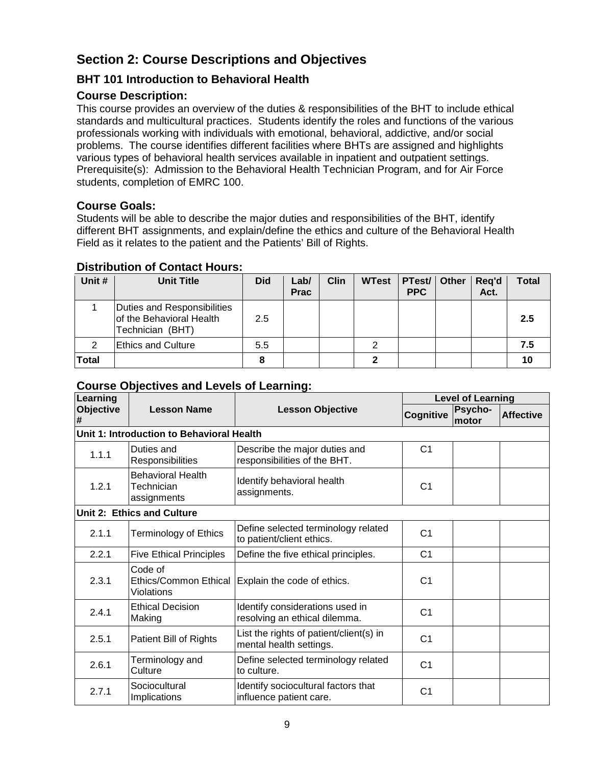# <span id="page-8-0"></span>**Section 2: Course Descriptions and Objectives**

# <span id="page-8-1"></span>**BHT 101 Introduction to Behavioral Health**

# **Course Description:**

This course provides an overview of the duties & responsibilities of the BHT to include ethical standards and multicultural practices. Students identify the roles and functions of the various professionals working with individuals with emotional, behavioral, addictive, and/or social problems. The course identifies different facilities where BHTs are assigned and highlights various types of behavioral health services available in inpatient and outpatient settings. Prerequisite(s): Admission to the Behavioral Health Technician Program, and for Air Force students, completion of EMRC 100.

# **Course Goals:**

Students will be able to describe the major duties and responsibilities of the BHT, identify different BHT assignments, and explain/define the ethics and culture of the Behavioral Health Field as it relates to the patient and the Patients' Bill of Rights.

# **Distribution of Contact Hours:**

| Unit #       | <b>Unit Title</b>                                                           | <b>Did</b> | Lab/<br><b>Prac</b> | <b>Clin</b> | <b>WTest</b> | PTest/ Other<br><b>PPC</b> | Reg'd<br>Act. | Total |
|--------------|-----------------------------------------------------------------------------|------------|---------------------|-------------|--------------|----------------------------|---------------|-------|
|              | Duties and Responsibilities<br>of the Behavioral Health<br>Technician (BHT) | 2.5        |                     |             |              |                            |               | 2.5   |
| 2            | <b>Ethics and Culture</b>                                                   | 5.5        |                     |             | ⌒            |                            |               | 7.5   |
| <b>Total</b> |                                                                             |            |                     |             |              |                            |               |       |

| Learning              |                                                       |                                                                    | <b>Level of Learning</b> |                  |                  |  |  |
|-----------------------|-------------------------------------------------------|--------------------------------------------------------------------|--------------------------|------------------|------------------|--|--|
| <b>Objective</b><br># | <b>Lesson Name</b>                                    | <b>Lesson Objective</b>                                            | Cognitive                | Psycho-<br>motor | <b>Affective</b> |  |  |
|                       | Unit 1: Introduction to Behavioral Health             |                                                                    |                          |                  |                  |  |  |
| 1.1.1                 | Duties and<br>Responsibilities                        | Describe the major duties and<br>responsibilities of the BHT.      | C <sub>1</sub>           |                  |                  |  |  |
| 1.2.1                 | <b>Behavioral Health</b><br>Technician<br>assignments | Identify behavioral health<br>assignments.                         | C <sub>1</sub>           |                  |                  |  |  |
|                       | Unit 2: Ethics and Culture                            |                                                                    |                          |                  |                  |  |  |
| 2.1.1                 | <b>Terminology of Ethics</b>                          | Define selected terminology related<br>to patient/client ethics.   | C <sub>1</sub>           |                  |                  |  |  |
| 2.2.1                 | <b>Five Ethical Principles</b>                        | Define the five ethical principles.                                | C <sub>1</sub>           |                  |                  |  |  |
| 2.3.1                 | Code of<br>Ethics/Common Ethical<br>Violations        | Explain the code of ethics.                                        | C <sub>1</sub>           |                  |                  |  |  |
| 2.4.1                 | <b>Ethical Decision</b><br>Making                     | Identify considerations used in<br>resolving an ethical dilemma.   | C <sub>1</sub>           |                  |                  |  |  |
| 2.5.1                 | Patient Bill of Rights                                | List the rights of patient/client(s) in<br>mental health settings. | C <sub>1</sub>           |                  |                  |  |  |
| 2.6.1                 | Terminology and<br>Culture                            | Define selected terminology related<br>to culture.                 | C <sub>1</sub>           |                  |                  |  |  |
| 2.7.1                 | Sociocultural<br>Implications                         | Identify sociocultural factors that<br>influence patient care.     | C <sub>1</sub>           |                  |                  |  |  |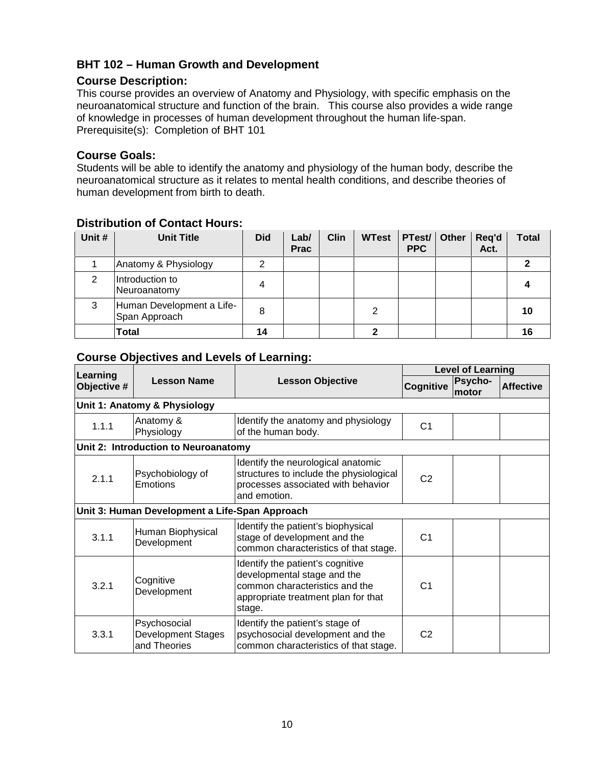# <span id="page-9-0"></span>**BHT 102 – Human Growth and Development**

# **Course Description:**

This course provides an overview of Anatomy and Physiology, with specific emphasis on the neuroanatomical structure and function of the brain. This course also provides a wide range of knowledge in processes of human development throughout the human life-span. Prerequisite(s): Completion of BHT 101

#### **Course Goals:**

Students will be able to identify the anatomy and physiology of the human body, describe the neuroanatomical structure as it relates to mental health conditions, and describe theories of human development from birth to death.

| Unit # | <b>Unit Title</b>                          | <b>Did</b> | Lab/<br><b>Prac</b> | <b>Clin</b> | <b>WTest</b> | PTest/ Other<br><b>PPC</b> |  | Req'd<br>Act. | Total |
|--------|--------------------------------------------|------------|---------------------|-------------|--------------|----------------------------|--|---------------|-------|
|        | Anatomy & Physiology                       | າ          |                     |             |              |                            |  |               |       |
| ◠      | Introduction to<br>Neuroanatomy            | 4          |                     |             |              |                            |  |               |       |
| 3      | Human Development a Life-<br>Span Approach | 8          |                     |             |              |                            |  |               | 10    |
|        | <b>Total</b>                               | 14         |                     |             |              |                            |  |               | 16    |

## **Distribution of Contact Hours:**

| Learning    |                                                           |                                                                                                                                                    | <b>Level of Learning</b> |                  |                  |  |  |
|-------------|-----------------------------------------------------------|----------------------------------------------------------------------------------------------------------------------------------------------------|--------------------------|------------------|------------------|--|--|
| Objective # | <b>Lesson Name</b>                                        | <b>Lesson Objective</b>                                                                                                                            | <b>Cognitive</b>         | Psycho-<br>motor | <b>Affective</b> |  |  |
|             | Unit 1: Anatomy & Physiology                              |                                                                                                                                                    |                          |                  |                  |  |  |
| 1.1.1       | Anatomy &<br>Physiology                                   | Identify the anatomy and physiology<br>of the human body.                                                                                          | C <sub>1</sub>           |                  |                  |  |  |
|             | Unit 2: Introduction to Neuroanatomy                      |                                                                                                                                                    |                          |                  |                  |  |  |
| 2.1.1       | Psychobiology of<br><b>Emotions</b>                       | Identify the neurological anatomic<br>structures to include the physiological<br>processes associated with behavior<br>and emotion.                | C <sub>2</sub>           |                  |                  |  |  |
|             | Unit 3: Human Development a Life-Span Approach            |                                                                                                                                                    |                          |                  |                  |  |  |
| 3.1.1       | Human Biophysical<br>Development                          | Identify the patient's biophysical<br>stage of development and the<br>common characteristics of that stage.                                        | C <sub>1</sub>           |                  |                  |  |  |
| 3.2.1       | Cognitive<br>Development                                  | Identify the patient's cognitive<br>developmental stage and the<br>common characteristics and the<br>appropriate treatment plan for that<br>stage. | C <sub>1</sub>           |                  |                  |  |  |
| 3.3.1       | Psychosocial<br><b>Development Stages</b><br>and Theories | Identify the patient's stage of<br>psychosocial development and the<br>common characteristics of that stage.                                       | C <sub>2</sub>           |                  |                  |  |  |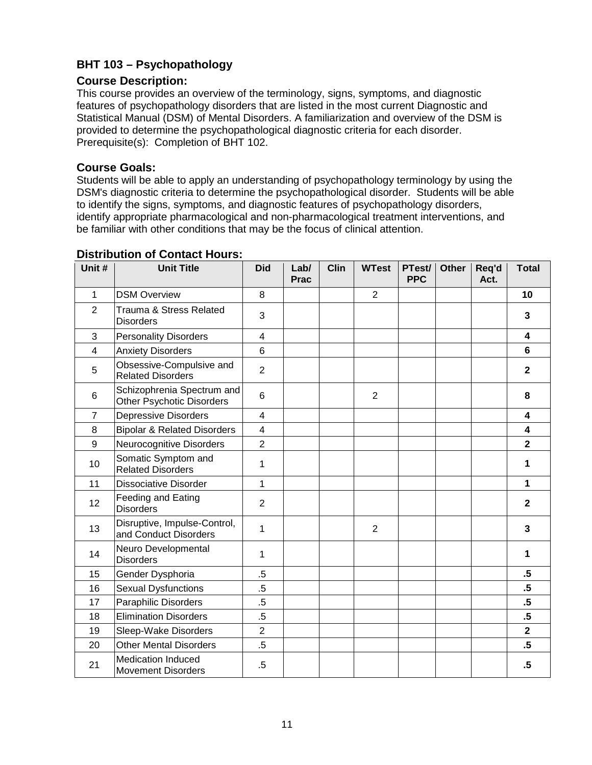# <span id="page-10-0"></span>**BHT 103 – Psychopathology**

## **Course Description:**

This course provides an overview of the terminology, signs, symptoms, and diagnostic features of psychopathology disorders that are listed in the most current Diagnostic and Statistical Manual (DSM) of Mental Disorders. A familiarization and overview of the DSM is provided to determine the psychopathological diagnostic criteria for each disorder. Prerequisite(s): Completion of BHT 102.

### **Course Goals:**

Students will be able to apply an understanding of psychopathology terminology by using the DSM's diagnostic criteria to determine the psychopathological disorder. Students will be able to identify the signs, symptoms, and diagnostic features of psychopathology disorders, identify appropriate pharmacological and non-pharmacological treatment interventions, and be familiar with other conditions that may be the focus of clinical attention.

| Unit #         | <b>Unit Title</b>                                              | <b>Did</b>              | Lab/<br><b>Prac</b> | Clin | <b>WTest</b>   | PTest/<br><b>PPC</b> | <b>Other</b> | Req'd<br>Act. | <b>Total</b>            |
|----------------|----------------------------------------------------------------|-------------------------|---------------------|------|----------------|----------------------|--------------|---------------|-------------------------|
| 1              | <b>DSM Overview</b>                                            | 8                       |                     |      | $\overline{2}$ |                      |              |               | 10                      |
| $\overline{2}$ | Trauma & Stress Related<br><b>Disorders</b>                    | 3                       |                     |      |                |                      |              |               | 3                       |
| 3              | <b>Personality Disorders</b>                                   | 4                       |                     |      |                |                      |              |               | 4                       |
| $\overline{4}$ | <b>Anxiety Disorders</b>                                       | 6                       |                     |      |                |                      |              |               | $6\phantom{a}$          |
| 5              | Obsessive-Compulsive and<br><b>Related Disorders</b>           | $\overline{2}$          |                     |      |                |                      |              |               | $\mathbf{2}$            |
| 6              | Schizophrenia Spectrum and<br><b>Other Psychotic Disorders</b> | $6\phantom{1}$          |                     |      | $\overline{2}$ |                      |              |               | 8                       |
| $\overline{7}$ | <b>Depressive Disorders</b>                                    | $\overline{4}$          |                     |      |                |                      |              |               | 4                       |
| 8              | <b>Bipolar &amp; Related Disorders</b>                         | $\overline{\mathbf{4}}$ |                     |      |                |                      |              |               | $\overline{\mathbf{4}}$ |
| 9              | Neurocognitive Disorders                                       | $\overline{2}$          |                     |      |                |                      |              |               | $\overline{2}$          |
| 10             | Somatic Symptom and<br><b>Related Disorders</b>                | 1                       |                     |      |                |                      |              |               | 1                       |
| 11             | <b>Dissociative Disorder</b>                                   | 1                       |                     |      |                |                      |              |               | 1                       |
| 12             | Feeding and Eating<br><b>Disorders</b>                         | $\overline{2}$          |                     |      |                |                      |              |               | $\mathbf{2}$            |
| 13             | Disruptive, Impulse-Control,<br>and Conduct Disorders          | 1                       |                     |      | $\overline{2}$ |                      |              |               | $\mathbf{3}$            |
| 14             | Neuro Developmental<br><b>Disorders</b>                        | 1                       |                     |      |                |                      |              |               | 1                       |
| 15             | Gender Dysphoria                                               | $.5\,$                  |                     |      |                |                      |              |               | $.5\,$                  |
| 16             | <b>Sexual Dysfunctions</b>                                     | $.5\,$                  |                     |      |                |                      |              |               | $.5\phantom{0}$         |
| 17             | <b>Paraphilic Disorders</b>                                    | $.5\,$                  |                     |      |                |                      |              |               | $.5\,$                  |
| 18             | <b>Elimination Disorders</b>                                   | $.5\,$                  |                     |      |                |                      |              |               | $.5\phantom{0}$         |
| 19             | Sleep-Wake Disorders                                           | $\overline{2}$          |                     |      |                |                      |              |               | $\overline{\mathbf{2}}$ |
| 20             | <b>Other Mental Disorders</b>                                  | $.5\,$                  |                     |      |                |                      |              |               | $.5\,$                  |
| 21             | <b>Medication Induced</b><br><b>Movement Disorders</b>         | $.5\,$                  |                     |      |                |                      |              |               | $.5\,$                  |

### **Distribution of Contact Hours:**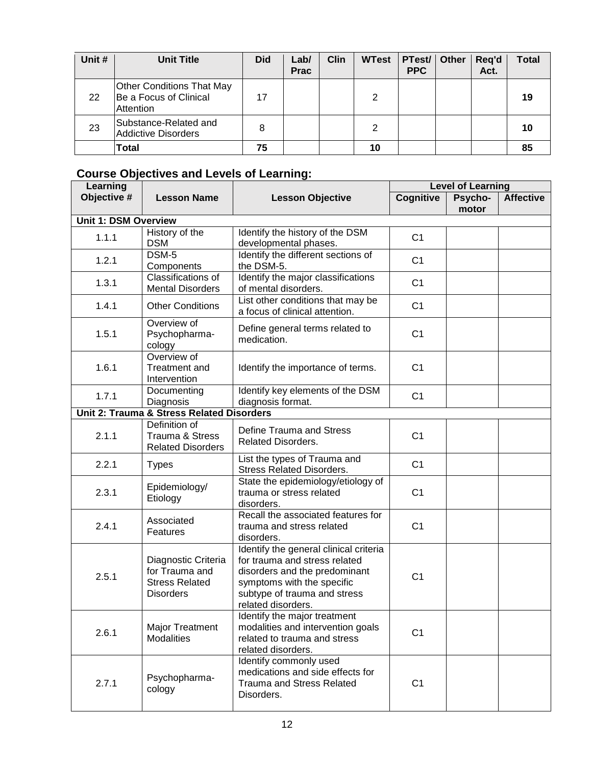| Unit # | <b>Unit Title</b>                                                       | <b>Did</b> | Lab/<br><b>Prac</b> | <b>Clin</b> | <b>WTest</b> | PTest/<br><b>PPC</b> | Other | Req'd<br>Act. | Total |
|--------|-------------------------------------------------------------------------|------------|---------------------|-------------|--------------|----------------------|-------|---------------|-------|
| 22     | <b>Other Conditions That May</b><br>Be a Focus of Clinical<br>Attention | 17         |                     |             | ⌒            |                      |       |               | 19    |
| 23     | Substance-Related and<br><b>Addictive Disorders</b>                     | 8          |                     |             | າ            |                      |       |               | 10    |
|        | Total                                                                   | 75         |                     |             | 10           |                      |       |               |       |

| Learning                    |                                                                                    |                                                                                                                                                                                              |                | Level of Learning |                  |
|-----------------------------|------------------------------------------------------------------------------------|----------------------------------------------------------------------------------------------------------------------------------------------------------------------------------------------|----------------|-------------------|------------------|
| Objective #                 | <b>Lesson Name</b>                                                                 | <b>Lesson Objective</b>                                                                                                                                                                      | Cognitive      | Psycho-<br>motor  | <b>Affective</b> |
| <b>Unit 1: DSM Overview</b> |                                                                                    |                                                                                                                                                                                              |                |                   |                  |
| 1.1.1                       | History of the<br><b>DSM</b>                                                       | Identify the history of the DSM<br>developmental phases.                                                                                                                                     | C <sub>1</sub> |                   |                  |
| 1.2.1                       | $DSM-5$<br>Components                                                              | Identify the different sections of<br>the DSM-5.                                                                                                                                             | C <sub>1</sub> |                   |                  |
| 1.3.1                       | Classifications of<br><b>Mental Disorders</b>                                      | Identify the major classifications<br>of mental disorders.                                                                                                                                   | C <sub>1</sub> |                   |                  |
| 1.4.1                       | <b>Other Conditions</b>                                                            | List other conditions that may be<br>a focus of clinical attention.                                                                                                                          | C <sub>1</sub> |                   |                  |
| 1.5.1                       | Overview of<br>Psychopharma-<br>cology                                             | Define general terms related to<br>medication.                                                                                                                                               | C <sub>1</sub> |                   |                  |
| 1.6.1                       | Overview of<br>Treatment and<br>Intervention                                       | Identify the importance of terms.                                                                                                                                                            | C <sub>1</sub> |                   |                  |
| 1.7.1                       | Documenting<br>Diagnosis                                                           | Identify key elements of the DSM<br>diagnosis format.                                                                                                                                        | C <sub>1</sub> |                   |                  |
|                             | Unit 2: Trauma & Stress Related Disorders                                          |                                                                                                                                                                                              |                |                   |                  |
| 2.1.1                       | Definition of<br>Trauma & Stress<br><b>Related Disorders</b>                       | Define Trauma and Stress<br><b>Related Disorders.</b>                                                                                                                                        | C <sub>1</sub> |                   |                  |
| 2.2.1                       | <b>Types</b>                                                                       | List the types of Trauma and<br><b>Stress Related Disorders.</b>                                                                                                                             | C <sub>1</sub> |                   |                  |
| 2.3.1                       | Epidemiology/<br>Etiology                                                          | State the epidemiology/etiology of<br>trauma or stress related<br>disorders.                                                                                                                 | C <sub>1</sub> |                   |                  |
| 2.4.1                       | Associated<br>Features                                                             | Recall the associated features for<br>trauma and stress related<br>disorders.                                                                                                                | C <sub>1</sub> |                   |                  |
| 2.5.1                       | Diagnostic Criteria<br>for Trauma and<br><b>Stress Related</b><br><b>Disorders</b> | Identify the general clinical criteria<br>for trauma and stress related<br>disorders and the predominant<br>symptoms with the specific<br>subtype of trauma and stress<br>related disorders. | C <sub>1</sub> |                   |                  |
| 2.6.1                       | <b>Major Treatment</b><br><b>Modalities</b>                                        | Identify the major treatment<br>modalities and intervention goals<br>related to trauma and stress<br>related disorders.                                                                      | C <sub>1</sub> |                   |                  |
| 2.7.1                       | Psychopharma-<br>cology                                                            | Identify commonly used<br>medications and side effects for<br><b>Trauma and Stress Related</b><br>Disorders.                                                                                 | C <sub>1</sub> |                   |                  |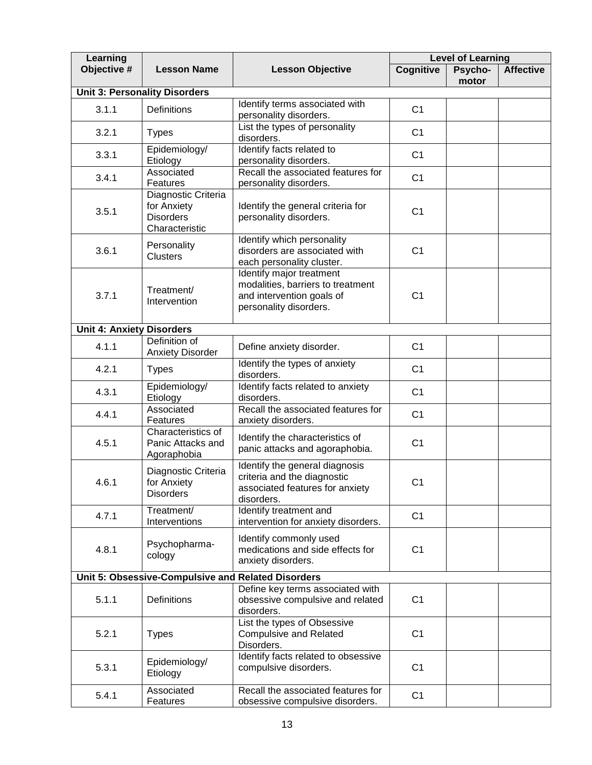| Learning                         |                                                                          | <b>Level of Learning</b>                                                                                             |                  |                  |                  |
|----------------------------------|--------------------------------------------------------------------------|----------------------------------------------------------------------------------------------------------------------|------------------|------------------|------------------|
| Objective #                      | <b>Lesson Name</b>                                                       | <b>Lesson Objective</b>                                                                                              | <b>Cognitive</b> | Psycho-<br>motor | <b>Affective</b> |
|                                  | <b>Unit 3: Personality Disorders</b>                                     |                                                                                                                      |                  |                  |                  |
| 3.1.1                            | <b>Definitions</b>                                                       | Identify terms associated with<br>personality disorders.                                                             | C <sub>1</sub>   |                  |                  |
| 3.2.1                            | <b>Types</b>                                                             | List the types of personality<br>disorders.                                                                          | C <sub>1</sub>   |                  |                  |
| 3.3.1                            | Epidemiology/<br>Etiology                                                | Identify facts related to<br>personality disorders.                                                                  | C <sub>1</sub>   |                  |                  |
| 3.4.1                            | Associated<br>Features                                                   | Recall the associated features for<br>personality disorders.                                                         | C <sub>1</sub>   |                  |                  |
| 3.5.1                            | Diagnostic Criteria<br>for Anxiety<br><b>Disorders</b><br>Characteristic | Identify the general criteria for<br>personality disorders.                                                          | C <sub>1</sub>   |                  |                  |
| 3.6.1                            | Personality<br><b>Clusters</b>                                           | Identify which personality<br>disorders are associated with<br>each personality cluster.                             | C <sub>1</sub>   |                  |                  |
| 3.7.1                            | Treatment/<br>Intervention                                               | Identify major treatment<br>modalities, barriers to treatment<br>and intervention goals of<br>personality disorders. | C <sub>1</sub>   |                  |                  |
| <b>Unit 4: Anxiety Disorders</b> |                                                                          |                                                                                                                      |                  |                  |                  |
| 4.1.1                            | Definition of<br><b>Anxiety Disorder</b>                                 | Define anxiety disorder.                                                                                             | C <sub>1</sub>   |                  |                  |
| 4.2.1                            | <b>Types</b>                                                             | Identify the types of anxiety<br>disorders.                                                                          | C <sub>1</sub>   |                  |                  |
| 4.3.1                            | Epidemiology/<br>Etiology                                                | Identify facts related to anxiety<br>disorders.                                                                      | C <sub>1</sub>   |                  |                  |
| 4.4.1                            | Associated<br>Features                                                   | Recall the associated features for<br>anxiety disorders.                                                             | C <sub>1</sub>   |                  |                  |
| 4.5.1                            | Characteristics of<br>Panic Attacks and<br>Agoraphobia                   | Identify the characteristics of<br>panic attacks and agoraphobia.                                                    | C <sub>1</sub>   |                  |                  |
| 4.6.1                            | Diagnostic Criteria<br>for Anxiety<br><b>Disorders</b>                   | Identify the general diagnosis<br>criteria and the diagnostic<br>associated features for anxiety<br>disorders.       | C <sub>1</sub>   |                  |                  |
| 4.7.1                            | Treatment/<br>Interventions                                              | Identify treatment and<br>intervention for anxiety disorders.                                                        | C <sub>1</sub>   |                  |                  |
| 4.8.1                            | Psychopharma-<br>cology                                                  | Identify commonly used<br>medications and side effects for<br>anxiety disorders.                                     | C <sub>1</sub>   |                  |                  |
|                                  | Unit 5: Obsessive-Compulsive and Related Disorders                       |                                                                                                                      |                  |                  |                  |
| 5.1.1                            | Definitions                                                              | Define key terms associated with<br>obsessive compulsive and related<br>disorders.                                   | C <sub>1</sub>   |                  |                  |
| 5.2.1                            | <b>Types</b>                                                             | List the types of Obsessive<br><b>Compulsive and Related</b><br>Disorders.                                           | C <sub>1</sub>   |                  |                  |
| 5.3.1                            | Epidemiology/<br>Etiology                                                | Identify facts related to obsessive<br>compulsive disorders.                                                         | C <sub>1</sub>   |                  |                  |
| 5.4.1                            | Associated<br>Features                                                   | Recall the associated features for<br>obsessive compulsive disorders.                                                | C <sub>1</sub>   |                  |                  |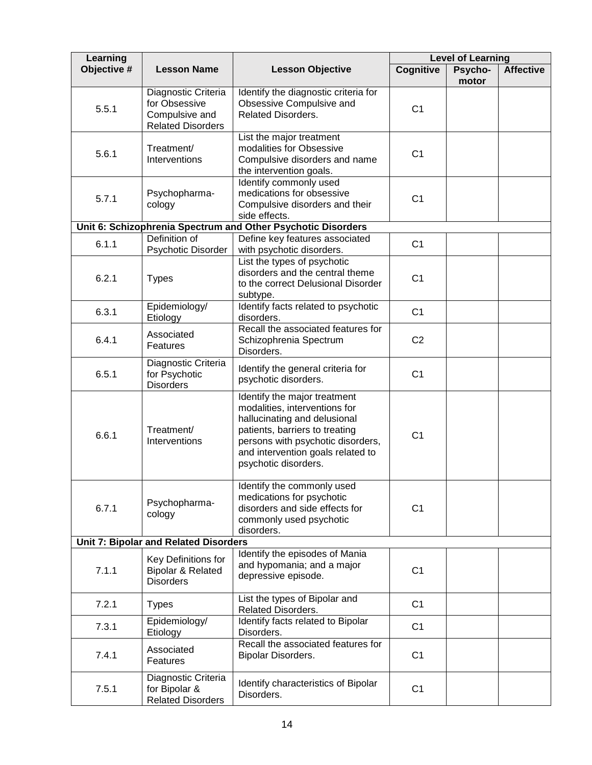| Learning    |                                                                                    |                                                                                                                                                                                                                                   |                  | <b>Level of Learning</b> |                  |
|-------------|------------------------------------------------------------------------------------|-----------------------------------------------------------------------------------------------------------------------------------------------------------------------------------------------------------------------------------|------------------|--------------------------|------------------|
| Objective # | <b>Lesson Name</b>                                                                 | <b>Lesson Objective</b>                                                                                                                                                                                                           | <b>Cognitive</b> | Psycho-<br>motor         | <b>Affective</b> |
| 5.5.1       | Diagnostic Criteria<br>for Obsessive<br>Compulsive and<br><b>Related Disorders</b> | Identify the diagnostic criteria for<br>Obsessive Compulsive and<br>Related Disorders.                                                                                                                                            | C <sub>1</sub>   |                          |                  |
| 5.6.1       | Treatment/<br>Interventions                                                        | List the major treatment<br>modalities for Obsessive<br>Compulsive disorders and name<br>the intervention goals.                                                                                                                  | C <sub>1</sub>   |                          |                  |
| 5.7.1       | Psychopharma-<br>cology                                                            | Identify commonly used<br>medications for obsessive<br>Compulsive disorders and their<br>side effects.                                                                                                                            | C <sub>1</sub>   |                          |                  |
|             |                                                                                    | Unit 6: Schizophrenia Spectrum and Other Psychotic Disorders                                                                                                                                                                      |                  |                          |                  |
| 6.1.1       | Definition of<br>Psychotic Disorder                                                | Define key features associated<br>with psychotic disorders.                                                                                                                                                                       | C <sub>1</sub>   |                          |                  |
| 6.2.1       | <b>Types</b>                                                                       | List the types of psychotic<br>disorders and the central theme<br>to the correct Delusional Disorder<br>subtype.                                                                                                                  | C <sub>1</sub>   |                          |                  |
| 6.3.1       | Epidemiology/<br>Etiology                                                          | Identify facts related to psychotic<br>disorders.                                                                                                                                                                                 | C <sub>1</sub>   |                          |                  |
| 6.4.1       | Associated<br>Features                                                             | Recall the associated features for<br>Schizophrenia Spectrum<br>Disorders.                                                                                                                                                        | C <sub>2</sub>   |                          |                  |
| 6.5.1       | Diagnostic Criteria<br>for Psychotic<br><b>Disorders</b>                           | Identify the general criteria for<br>psychotic disorders.                                                                                                                                                                         | C <sub>1</sub>   |                          |                  |
| 6.6.1       | Treatment/<br>Interventions                                                        | Identify the major treatment<br>modalities, interventions for<br>hallucinating and delusional<br>patients, barriers to treating<br>persons with psychotic disorders,<br>and intervention goals related to<br>psychotic disorders. | C <sub>1</sub>   |                          |                  |
| 6.7.1       | Psychopharma-<br>cology                                                            | Identify the commonly used<br>medications for psychotic<br>disorders and side effects for<br>commonly used psychotic<br>disorders.                                                                                                | C <sub>1</sub>   |                          |                  |
|             | <b>Unit 7: Bipolar and Related Disorders</b>                                       |                                                                                                                                                                                                                                   |                  |                          |                  |
| 7.1.1       | Key Definitions for<br><b>Bipolar &amp; Related</b><br><b>Disorders</b>            | Identify the episodes of Mania<br>and hypomania; and a major<br>depressive episode.                                                                                                                                               | C <sub>1</sub>   |                          |                  |
| 7.2.1       | <b>Types</b>                                                                       | List the types of Bipolar and<br>Related Disorders.                                                                                                                                                                               | C <sub>1</sub>   |                          |                  |
| 7.3.1       | Epidemiology/<br>Etiology                                                          | Identify facts related to Bipolar<br>Disorders.                                                                                                                                                                                   | C <sub>1</sub>   |                          |                  |
| 7.4.1       | Associated<br>Features                                                             | Recall the associated features for<br>Bipolar Disorders.                                                                                                                                                                          | C <sub>1</sub>   |                          |                  |
| 7.5.1       | Diagnostic Criteria<br>for Bipolar &<br><b>Related Disorders</b>                   | Identify characteristics of Bipolar<br>Disorders.                                                                                                                                                                                 | C <sub>1</sub>   |                          |                  |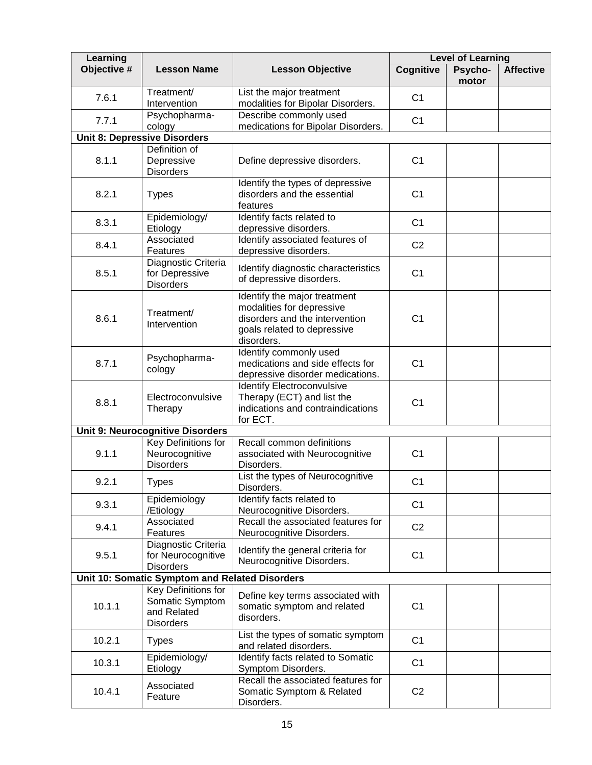| Learning    | <b>Level of Learning</b>                                                  |                                                                                                                                          |                  |                  |                  |
|-------------|---------------------------------------------------------------------------|------------------------------------------------------------------------------------------------------------------------------------------|------------------|------------------|------------------|
| Objective # | <b>Lesson Name</b>                                                        | <b>Lesson Objective</b>                                                                                                                  | <b>Cognitive</b> | Psycho-<br>motor | <b>Affective</b> |
| 7.6.1       | Treatment/<br>Intervention                                                | List the major treatment<br>modalities for Bipolar Disorders.                                                                            | C <sub>1</sub>   |                  |                  |
| 7.7.1       | Psychopharma-<br>cology                                                   | Describe commonly used<br>medications for Bipolar Disorders.                                                                             | C <sub>1</sub>   |                  |                  |
|             | <b>Unit 8: Depressive Disorders</b>                                       |                                                                                                                                          |                  |                  |                  |
| 8.1.1       | Definition of<br>Depressive<br><b>Disorders</b>                           | Define depressive disorders.                                                                                                             | C <sub>1</sub>   |                  |                  |
| 8.2.1       | <b>Types</b>                                                              | Identify the types of depressive<br>disorders and the essential<br>features                                                              | C <sub>1</sub>   |                  |                  |
| 8.3.1       | Epidemiology/<br>Etiology                                                 | Identify facts related to<br>depressive disorders.                                                                                       | C <sub>1</sub>   |                  |                  |
| 8.4.1       | Associated<br>Features                                                    | Identify associated features of<br>depressive disorders.                                                                                 | C <sub>2</sub>   |                  |                  |
| 8.5.1       | Diagnostic Criteria<br>for Depressive<br><b>Disorders</b>                 | Identify diagnostic characteristics<br>of depressive disorders.                                                                          | C <sub>1</sub>   |                  |                  |
| 8.6.1       | Treatment/<br>Intervention                                                | Identify the major treatment<br>modalities for depressive<br>disorders and the intervention<br>goals related to depressive<br>disorders. | C <sub>1</sub>   |                  |                  |
| 8.7.1       | Psychopharma-<br>cology                                                   | Identify commonly used<br>medications and side effects for<br>C <sub>1</sub><br>depressive disorder medications.                         |                  |                  |                  |
| 8.8.1       | Electroconvulsive<br>Therapy                                              | <b>Identify Electroconvulsive</b><br>Therapy (ECT) and list the<br>indications and contraindications<br>for ECT.                         | C <sub>1</sub>   |                  |                  |
|             | <b>Unit 9: Neurocognitive Disorders</b>                                   |                                                                                                                                          |                  |                  |                  |
| 9.1.1       | <b>Key Definitions for</b><br>Neurocognitive<br><b>Disorders</b>          | Recall common definitions<br>associated with Neurocognitive<br>Disorders.                                                                | C <sub>1</sub>   |                  |                  |
| 9.2.1       | <b>Types</b>                                                              | List the types of Neurocognitive<br>Disorders.                                                                                           | C <sub>1</sub>   |                  |                  |
| 9.3.1       | Epidemiology<br>/Etiology                                                 | Identify facts related to<br>Neurocognitive Disorders.                                                                                   | C <sub>1</sub>   |                  |                  |
| 9.4.1       | Associated<br>Features                                                    | Recall the associated features for<br>Neurocognitive Disorders.                                                                          | C <sub>2</sub>   |                  |                  |
| 9.5.1       | Diagnostic Criteria<br>for Neurocognitive<br><b>Disorders</b>             | Identify the general criteria for<br>Neurocognitive Disorders.                                                                           | C <sub>1</sub>   |                  |                  |
|             | Unit 10: Somatic Symptom and Related Disorders                            |                                                                                                                                          |                  |                  |                  |
| 10.1.1      | Key Definitions for<br>Somatic Symptom<br>and Related<br><b>Disorders</b> | Define key terms associated with<br>somatic symptom and related<br>disorders.                                                            | C <sub>1</sub>   |                  |                  |
| 10.2.1      | <b>Types</b>                                                              | List the types of somatic symptom<br>and related disorders.                                                                              | C <sub>1</sub>   |                  |                  |
| 10.3.1      | Epidemiology/<br>Etiology                                                 | Identify facts related to Somatic<br>Symptom Disorders.                                                                                  | C <sub>1</sub>   |                  |                  |
| 10.4.1      | Associated<br>Feature                                                     | Recall the associated features for<br>Somatic Symptom & Related<br>Disorders.                                                            | C <sub>2</sub>   |                  |                  |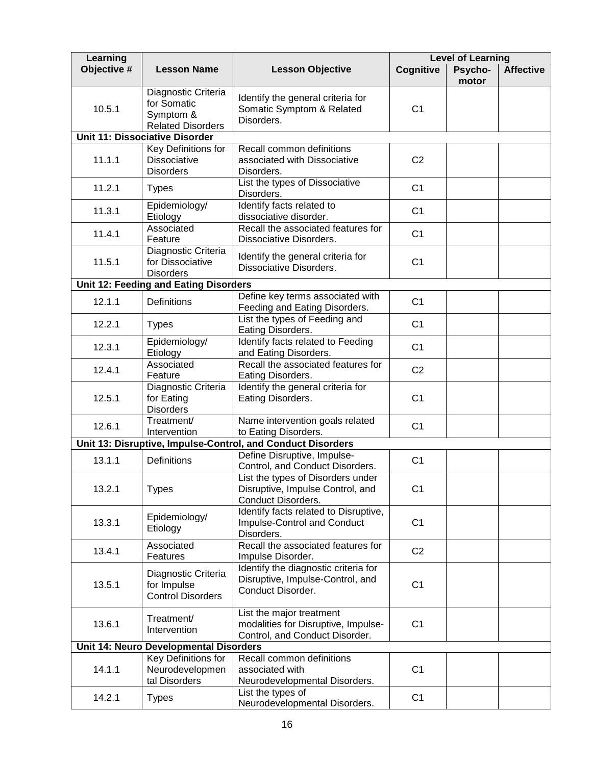| Learning    |                                                                                                                      |                                                                                                   | <b>Level of Learning</b> |                  |                  |
|-------------|----------------------------------------------------------------------------------------------------------------------|---------------------------------------------------------------------------------------------------|--------------------------|------------------|------------------|
| Objective # | <b>Lesson Name</b>                                                                                                   | <b>Lesson Objective</b>                                                                           | Cognitive                | Psycho-<br>motor | <b>Affective</b> |
| 10.5.1      | Diagnostic Criteria<br>for Somatic<br>Symptom &<br><b>Related Disorders</b><br><b>Unit 11: Dissociative Disorder</b> | Identify the general criteria for<br>Somatic Symptom & Related<br>Disorders.                      | C <sub>1</sub>           |                  |                  |
|             |                                                                                                                      |                                                                                                   |                          |                  |                  |
| 11.1.1      | Key Definitions for<br><b>Dissociative</b><br><b>Disorders</b>                                                       | Recall common definitions<br>associated with Dissociative<br>Disorders.                           | C <sub>2</sub>           |                  |                  |
| 11.2.1      | <b>Types</b>                                                                                                         | List the types of Dissociative<br>Disorders.                                                      | C <sub>1</sub>           |                  |                  |
| 11.3.1      | Epidemiology/<br>Etiology                                                                                            | Identify facts related to<br>dissociative disorder.                                               | C <sub>1</sub>           |                  |                  |
| 11.4.1      | Associated<br>Feature                                                                                                | Recall the associated features for<br>Dissociative Disorders.                                     | C <sub>1</sub>           |                  |                  |
| 11.5.1      | Diagnostic Criteria<br>for Dissociative<br><b>Disorders</b>                                                          | Identify the general criteria for<br>Dissociative Disorders.                                      | C <sub>1</sub>           |                  |                  |
|             | Unit 12: Feeding and Eating Disorders                                                                                |                                                                                                   |                          |                  |                  |
| 12.1.1      | <b>Definitions</b>                                                                                                   | Define key terms associated with<br>Feeding and Eating Disorders.                                 | C <sub>1</sub>           |                  |                  |
| 12.2.1      | <b>Types</b>                                                                                                         | List the types of Feeding and<br>Eating Disorders.                                                | C <sub>1</sub>           |                  |                  |
| 12.3.1      | Epidemiology/<br>Etiology                                                                                            | Identify facts related to Feeding<br>and Eating Disorders.                                        | C <sub>1</sub>           |                  |                  |
| 12.4.1      | Associated<br>Feature                                                                                                | Recall the associated features for<br>Eating Disorders.                                           | C <sub>2</sub>           |                  |                  |
| 12.5.1      | Diagnostic Criteria<br>for Eating<br><b>Disorders</b>                                                                | Identify the general criteria for<br>Eating Disorders.                                            | C <sub>1</sub>           |                  |                  |
| 12.6.1      | Treatment/<br>Intervention                                                                                           | Name intervention goals related<br>to Eating Disorders.                                           | C <sub>1</sub>           |                  |                  |
|             |                                                                                                                      | Unit 13: Disruptive, Impulse-Control, and Conduct Disorders                                       |                          |                  |                  |
| 13.1.1      | <b>Definitions</b>                                                                                                   | Define Disruptive, Impulse-<br>Control, and Conduct Disorders.                                    | C <sub>1</sub>           |                  |                  |
| 13.2.1      | <b>Types</b>                                                                                                         | List the types of Disorders under<br>Disruptive, Impulse Control, and<br>Conduct Disorders.       | C <sub>1</sub>           |                  |                  |
| 13.3.1      | Epidemiology/<br>Etiology                                                                                            | Identify facts related to Disruptive,<br>Impulse-Control and Conduct<br>Disorders.                | C <sub>1</sub>           |                  |                  |
| 13.4.1      | Associated<br>Features                                                                                               | Recall the associated features for<br>Impulse Disorder.                                           | C <sub>2</sub>           |                  |                  |
| 13.5.1      | Diagnostic Criteria<br>for Impulse<br><b>Control Disorders</b>                                                       | Identify the diagnostic criteria for<br>Disruptive, Impulse-Control, and<br>Conduct Disorder.     | C <sub>1</sub>           |                  |                  |
| 13.6.1      | Treatment/<br>Intervention                                                                                           | List the major treatment<br>modalities for Disruptive, Impulse-<br>Control, and Conduct Disorder. | C <sub>1</sub>           |                  |                  |
|             | Unit 14: Neuro Developmental Disorders                                                                               |                                                                                                   |                          |                  |                  |
| 14.1.1      | Key Definitions for<br>Neurodevelopmen<br>tal Disorders                                                              | Recall common definitions<br>associated with<br>Neurodevelopmental Disorders.                     | C <sub>1</sub>           |                  |                  |
| 14.2.1      | <b>Types</b>                                                                                                         | List the types of<br>Neurodevelopmental Disorders.                                                | C <sub>1</sub>           |                  |                  |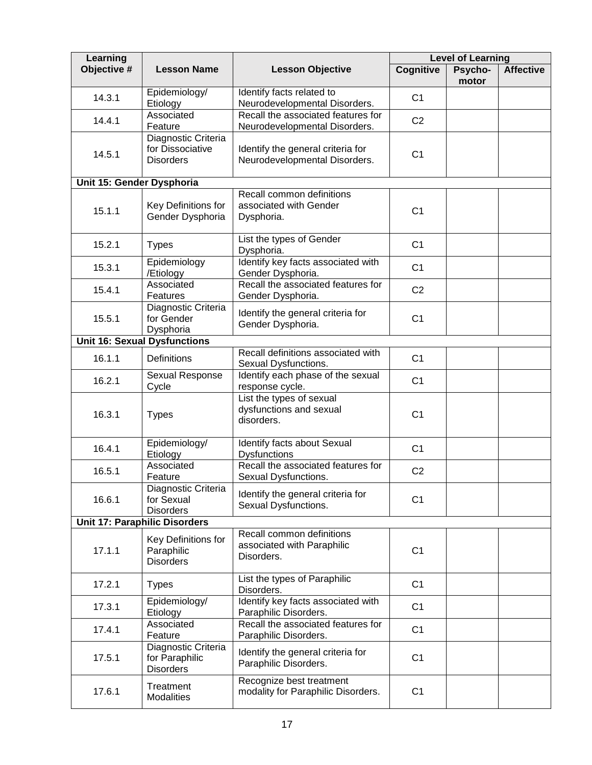| Learning                  |                                                             | <b>Level of Learning</b>                                              |                  |                  |                  |
|---------------------------|-------------------------------------------------------------|-----------------------------------------------------------------------|------------------|------------------|------------------|
| Objective #               | <b>Lesson Name</b>                                          | <b>Lesson Objective</b>                                               | <b>Cognitive</b> | Psycho-<br>motor | <b>Affective</b> |
| 14.3.1                    | Epidemiology/<br>Etiology                                   | Identify facts related to<br>Neurodevelopmental Disorders.            | C <sub>1</sub>   |                  |                  |
| 14.4.1                    | Associated<br>Feature                                       | Recall the associated features for<br>Neurodevelopmental Disorders.   | C <sub>2</sub>   |                  |                  |
| 14.5.1                    | Diagnostic Criteria<br>for Dissociative<br><b>Disorders</b> | Identify the general criteria for<br>Neurodevelopmental Disorders.    | C <sub>1</sub>   |                  |                  |
| Unit 15: Gender Dysphoria |                                                             |                                                                       |                  |                  |                  |
| 15.1.1                    | Key Definitions for<br>Gender Dysphoria                     | Recall common definitions<br>associated with Gender<br>Dysphoria.     | C <sub>1</sub>   |                  |                  |
| 15.2.1                    | <b>Types</b>                                                | List the types of Gender<br>Dysphoria.                                | C <sub>1</sub>   |                  |                  |
| 15.3.1                    | Epidemiology<br>/Etiology                                   | Identify key facts associated with<br>Gender Dysphoria.               | C <sub>1</sub>   |                  |                  |
| 15.4.1                    | Associated<br>Features                                      | Recall the associated features for<br>Gender Dysphoria.               | C <sub>2</sub>   |                  |                  |
| 15.5.1                    | Diagnostic Criteria<br>for Gender<br>Dysphoria              | Identify the general criteria for<br>Gender Dysphoria.                | C <sub>1</sub>   |                  |                  |
|                           | <b>Unit 16: Sexual Dysfunctions</b>                         |                                                                       |                  |                  |                  |
| 16.1.1                    | <b>Definitions</b>                                          | Recall definitions associated with<br>Sexual Dysfunctions.            | C <sub>1</sub>   |                  |                  |
| 16.2.1                    | Sexual Response<br>Cycle                                    | Identify each phase of the sexual<br>response cycle.                  | C <sub>1</sub>   |                  |                  |
| 16.3.1                    | <b>Types</b>                                                | List the types of sexual<br>dysfunctions and sexual<br>disorders.     | C <sub>1</sub>   |                  |                  |
| 16.4.1                    | Epidemiology/<br>Etiology                                   | Identify facts about Sexual<br><b>Dysfunctions</b>                    | C <sub>1</sub>   |                  |                  |
| 16.5.1                    | Associated<br>Feature                                       | Recall the associated features for<br>Sexual Dysfunctions.            | C <sub>2</sub>   |                  |                  |
| 16.6.1                    | Diagnostic Criteria<br>for Sexual<br><b>Disorders</b>       | Identify the general criteria for<br>Sexual Dysfunctions.             | C <sub>1</sub>   |                  |                  |
|                           | Unit 17: Paraphilic Disorders                               |                                                                       |                  |                  |                  |
| 17.1.1                    | Key Definitions for<br>Paraphilic<br><b>Disorders</b>       | Recall common definitions<br>associated with Paraphilic<br>Disorders. | C <sub>1</sub>   |                  |                  |
| 17.2.1                    | <b>Types</b>                                                | List the types of Paraphilic<br>Disorders.                            | C <sub>1</sub>   |                  |                  |
| 17.3.1                    | Epidemiology/<br>Etiology                                   | Identify key facts associated with<br>Paraphilic Disorders.           | C <sub>1</sub>   |                  |                  |
| 17.4.1                    | Associated<br>Feature                                       | Recall the associated features for<br>Paraphilic Disorders.           | C <sub>1</sub>   |                  |                  |
| 17.5.1                    | Diagnostic Criteria<br>for Paraphilic<br><b>Disorders</b>   | Identify the general criteria for<br>Paraphilic Disorders.            | C <sub>1</sub>   |                  |                  |
| 17.6.1                    | Treatment<br><b>Modalities</b>                              | Recognize best treatment<br>modality for Paraphilic Disorders.        | C <sub>1</sub>   |                  |                  |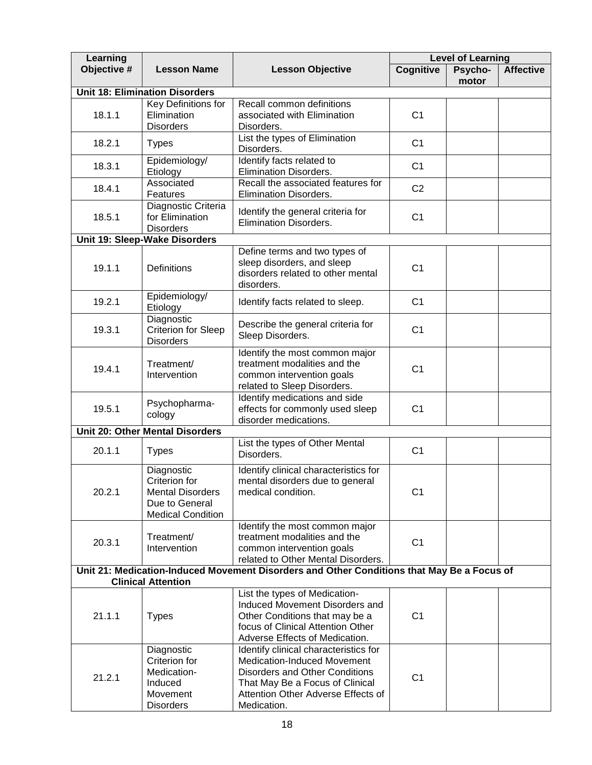| Learning    |                                                                                                      | <b>Level of Learning</b>                                                                                                                                                                                     |                  |                  |                  |
|-------------|------------------------------------------------------------------------------------------------------|--------------------------------------------------------------------------------------------------------------------------------------------------------------------------------------------------------------|------------------|------------------|------------------|
| Objective # | <b>Lesson Name</b>                                                                                   | <b>Lesson Objective</b>                                                                                                                                                                                      | <b>Cognitive</b> | Psycho-<br>motor | <b>Affective</b> |
|             | <b>Unit 18: Elimination Disorders</b>                                                                |                                                                                                                                                                                                              |                  |                  |                  |
| 18.1.1      | Key Definitions for<br>Elimination<br><b>Disorders</b>                                               | Recall common definitions<br>associated with Elimination<br>Disorders.                                                                                                                                       | C <sub>1</sub>   |                  |                  |
| 18.2.1      | <b>Types</b>                                                                                         | List the types of Elimination<br>Disorders.                                                                                                                                                                  |                  |                  |                  |
| 18.3.1      | Epidemiology/<br>Etiology                                                                            | Identify facts related to<br>Elimination Disorders.                                                                                                                                                          | C <sub>1</sub>   |                  |                  |
| 18.4.1      | Associated<br>Features                                                                               | Recall the associated features for<br><b>Elimination Disorders.</b>                                                                                                                                          | C <sub>2</sub>   |                  |                  |
| 18.5.1      | Diagnostic Criteria<br>for Elimination<br><b>Disorders</b>                                           | Identify the general criteria for<br>Elimination Disorders.                                                                                                                                                  | C <sub>1</sub>   |                  |                  |
|             | Unit 19: Sleep-Wake Disorders                                                                        |                                                                                                                                                                                                              |                  |                  |                  |
| 19.1.1      | Definitions                                                                                          | Define terms and two types of<br>sleep disorders, and sleep<br>disorders related to other mental<br>disorders.                                                                                               | C <sub>1</sub>   |                  |                  |
| 19.2.1      | Epidemiology/<br>Etiology                                                                            | Identify facts related to sleep.                                                                                                                                                                             | C <sub>1</sub>   |                  |                  |
| 19.3.1      | Diagnostic<br><b>Criterion for Sleep</b><br><b>Disorders</b>                                         | Describe the general criteria for<br>C <sub>1</sub><br>Sleep Disorders.                                                                                                                                      |                  |                  |                  |
| 19.4.1      | Treatment/<br>Intervention                                                                           | Identify the most common major<br>treatment modalities and the<br>common intervention goals<br>related to Sleep Disorders.                                                                                   | C <sub>1</sub>   |                  |                  |
| 19.5.1      | Psychopharma-<br>cology                                                                              | Identify medications and side<br>effects for commonly used sleep<br>disorder medications.                                                                                                                    | C <sub>1</sub>   |                  |                  |
|             | Unit 20: Other Mental Disorders                                                                      |                                                                                                                                                                                                              |                  |                  |                  |
| 20.1.1      | <b>Types</b>                                                                                         | List the types of Other Mental<br>Disorders.                                                                                                                                                                 | C <sub>1</sub>   |                  |                  |
| 20.2.1      | Diagnostic<br>Criterion for<br><b>Mental Disorders</b><br>Due to General<br><b>Medical Condition</b> | Identify clinical characteristics for<br>mental disorders due to general<br>medical condition.                                                                                                               | C <sub>1</sub>   |                  |                  |
| 20.3.1      | Treatment/<br>Intervention                                                                           | Identify the most common major<br>treatment modalities and the<br>common intervention goals<br>related to Other Mental Disorders.                                                                            | C <sub>1</sub>   |                  |                  |
|             |                                                                                                      | Unit 21: Medication-Induced Movement Disorders and Other Conditions that May Be a Focus of                                                                                                                   |                  |                  |                  |
|             | <b>Clinical Attention</b>                                                                            |                                                                                                                                                                                                              |                  |                  |                  |
| 21.1.1      | <b>Types</b>                                                                                         | List the types of Medication-<br>Induced Movement Disorders and<br>Other Conditions that may be a<br>focus of Clinical Attention Other<br>Adverse Effects of Medication.                                     | C <sub>1</sub>   |                  |                  |
| 21.2.1      | Diagnostic<br>Criterion for<br>Medication-<br>Induced<br>Movement<br><b>Disorders</b>                | Identify clinical characteristics for<br><b>Medication-Induced Movement</b><br><b>Disorders and Other Conditions</b><br>That May Be a Focus of Clinical<br>Attention Other Adverse Effects of<br>Medication. | C <sub>1</sub>   |                  |                  |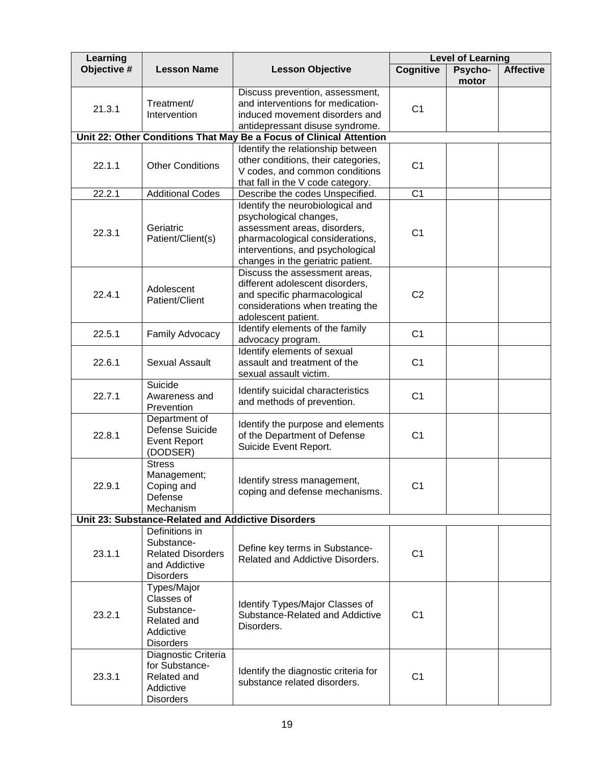| Learning    |                                                    |                                                                     | <b>Level of Learning</b> |                  |                  |
|-------------|----------------------------------------------------|---------------------------------------------------------------------|--------------------------|------------------|------------------|
| Objective # | <b>Lesson Name</b>                                 | <b>Lesson Objective</b>                                             | Cognitive                | Psycho-<br>motor | <b>Affective</b> |
|             |                                                    | Discuss prevention, assessment,                                     |                          |                  |                  |
| 21.3.1      | Treatment/                                         | and interventions for medication-                                   | C <sub>1</sub>           |                  |                  |
|             | Intervention                                       | induced movement disorders and                                      |                          |                  |                  |
|             |                                                    | antidepressant disuse syndrome.                                     |                          |                  |                  |
|             |                                                    | Unit 22: Other Conditions That May Be a Focus of Clinical Attention |                          |                  |                  |
|             |                                                    | Identify the relationship between                                   |                          |                  |                  |
| 22.1.1      | <b>Other Conditions</b>                            | other conditions, their categories,                                 | C <sub>1</sub>           |                  |                  |
|             | V codes, and common conditions                     |                                                                     |                          |                  |                  |
|             |                                                    | that fall in the V code category.                                   |                          |                  |                  |
| 22.2.1      | <b>Additional Codes</b>                            | Describe the codes Unspecified.                                     | C <sub>1</sub>           |                  |                  |
|             |                                                    | Identify the neurobiological and                                    |                          |                  |                  |
|             |                                                    | psychological changes,                                              |                          |                  |                  |
| 22.3.1      | Geriatric<br>Patient/Client(s)                     | assessment areas, disorders,                                        | C <sub>1</sub>           |                  |                  |
|             |                                                    | pharmacological considerations,<br>interventions, and psychological |                          |                  |                  |
|             |                                                    | changes in the geriatric patient.                                   |                          |                  |                  |
|             |                                                    | Discuss the assessment areas,                                       |                          |                  |                  |
|             |                                                    | different adolescent disorders,                                     |                          |                  |                  |
| 22.4.1      | Adolescent                                         | and specific pharmacological                                        | C <sub>2</sub>           |                  |                  |
|             | Patient/Client                                     | considerations when treating the                                    |                          |                  |                  |
|             |                                                    | adolescent patient.                                                 |                          |                  |                  |
|             |                                                    | Identify elements of the family                                     |                          |                  |                  |
| 22.5.1      | Family Advocacy                                    | advocacy program.                                                   | C <sub>1</sub>           |                  |                  |
|             |                                                    | Identify elements of sexual                                         |                          |                  |                  |
| 22.6.1      | <b>Sexual Assault</b>                              | assault and treatment of the                                        | C <sub>1</sub>           |                  |                  |
|             |                                                    | sexual assault victim.                                              |                          |                  |                  |
|             | Suicide                                            | Identify suicidal characteristics                                   |                          |                  |                  |
| 22.7.1      | Awareness and                                      | and methods of prevention.                                          | C <sub>1</sub>           |                  |                  |
|             | Prevention                                         |                                                                     |                          |                  |                  |
|             | Department of                                      | Identify the purpose and elements                                   |                          |                  |                  |
| 22.8.1      | Defense Suicide                                    | of the Department of Defense                                        | C <sub>1</sub>           |                  |                  |
|             | <b>Event Report</b>                                | Suicide Event Report.                                               |                          |                  |                  |
|             | (DODSER)                                           |                                                                     |                          |                  |                  |
|             | <b>Stress</b>                                      |                                                                     |                          |                  |                  |
|             | Management;                                        | Identify stress management,                                         |                          |                  |                  |
| 22.9.1      | Coping and<br>Defense                              | coping and defense mechanisms.                                      | C1                       |                  |                  |
|             | Mechanism                                          |                                                                     |                          |                  |                  |
|             | Unit 23: Substance-Related and Addictive Disorders |                                                                     |                          |                  |                  |
|             | Definitions in                                     |                                                                     |                          |                  |                  |
|             | Substance-                                         |                                                                     |                          |                  |                  |
| 23.1.1      | <b>Related Disorders</b>                           | Define key terms in Substance-                                      | C <sub>1</sub>           |                  |                  |
|             | and Addictive                                      | Related and Addictive Disorders.                                    |                          |                  |                  |
|             | <b>Disorders</b>                                   |                                                                     |                          |                  |                  |
|             | Types/Major                                        |                                                                     |                          |                  |                  |
|             | Classes of                                         | Identify Types/Major Classes of                                     |                          |                  |                  |
| 23.2.1      | Substance-                                         | Substance-Related and Addictive                                     | C <sub>1</sub>           |                  |                  |
|             | Related and                                        | Disorders.                                                          |                          |                  |                  |
|             | Addictive                                          |                                                                     |                          |                  |                  |
|             | <b>Disorders</b>                                   |                                                                     |                          |                  |                  |
|             | Diagnostic Criteria                                |                                                                     |                          |                  |                  |
|             | for Substance-                                     | Identify the diagnostic criteria for                                |                          |                  |                  |
| 23.3.1      | Related and                                        | substance related disorders.                                        | C <sub>1</sub>           |                  |                  |
|             | Addictive                                          |                                                                     |                          |                  |                  |
|             | <b>Disorders</b>                                   |                                                                     |                          |                  |                  |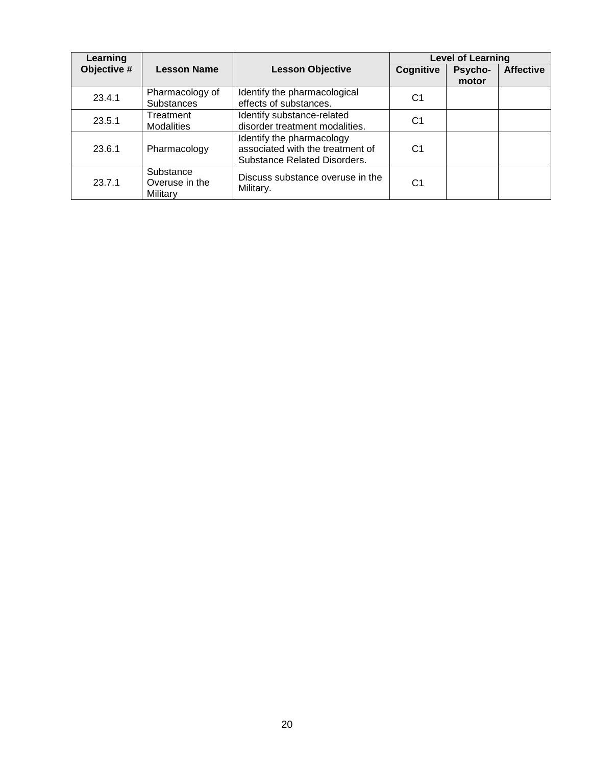| Learning    |                                         |                                                                                                      |                | <b>Level of Learning</b> |                  |  |  |  |
|-------------|-----------------------------------------|------------------------------------------------------------------------------------------------------|----------------|--------------------------|------------------|--|--|--|
| Objective # | <b>Lesson Name</b>                      | <b>Lesson Objective</b>                                                                              | Cognitive      | Psycho-<br>motor         | <b>Affective</b> |  |  |  |
| 23.4.1      | Pharmacology of<br><b>Substances</b>    | Identify the pharmacological<br>effects of substances.                                               | C1             |                          |                  |  |  |  |
| 23.5.1      | Treatment<br><b>Modalities</b>          | Identify substance-related<br>disorder treatment modalities.                                         | C <sub>1</sub> |                          |                  |  |  |  |
| 23.6.1      | Pharmacology                            | Identify the pharmacology<br>associated with the treatment of<br><b>Substance Related Disorders.</b> | C <sub>1</sub> |                          |                  |  |  |  |
| 23.7.1      | Substance<br>Overuse in the<br>Military | Discuss substance overuse in the<br>Military.                                                        | C <sub>1</sub> |                          |                  |  |  |  |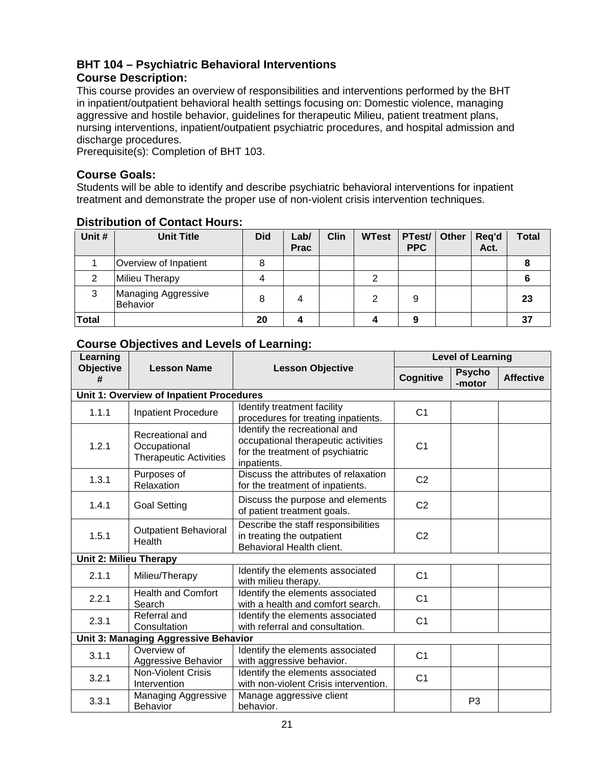# <span id="page-20-0"></span>**BHT 104 – Psychiatric Behavioral Interventions Course Description:**

This course provides an overview of responsibilities and interventions performed by the BHT in inpatient/outpatient behavioral health settings focusing on: Domestic violence, managing aggressive and hostile behavior, guidelines for therapeutic Milieu, patient treatment plans, nursing interventions, inpatient/outpatient psychiatric procedures, and hospital admission and discharge procedures.

Prerequisite(s): Completion of BHT 103.

# **Course Goals:**

Students will be able to identify and describe psychiatric behavioral interventions for inpatient treatment and demonstrate the proper use of non-violent crisis intervention techniques.

| Unit #       | <b>Unit Title</b>               | <b>Did</b> | Lab/<br><b>Prac</b> | <b>Clin</b> | <b>WTest</b> | PTest/<br><b>PPC</b> | Other | Req'd<br>Act. | <b>Total</b> |
|--------------|---------------------------------|------------|---------------------|-------------|--------------|----------------------|-------|---------------|--------------|
|              | Overview of Inpatient           | 8          |                     |             |              |                      |       |               |              |
| ◠            | Milieu Therapy                  |            |                     |             | ົ            |                      |       |               |              |
| 3            | Managing Aggressive<br>Behavior | 8          | 4                   |             |              | 9                    |       |               | 23           |
| <b>Total</b> |                                 | 20         |                     |             |              | 9                    |       |               | 37           |

# **Distribution of Contact Hours:**

| Learning                      |                                                                   |                                                                                                                                           | <b>Level of Learning</b> |                         |                  |  |  |
|-------------------------------|-------------------------------------------------------------------|-------------------------------------------------------------------------------------------------------------------------------------------|--------------------------|-------------------------|------------------|--|--|
| <b>Objective</b><br>#         | <b>Lesson Name</b>                                                | <b>Lesson Objective</b>                                                                                                                   | Cognitive                | <b>Psycho</b><br>-motor | <b>Affective</b> |  |  |
|                               | Unit 1: Overview of Inpatient Procedures                          |                                                                                                                                           |                          |                         |                  |  |  |
| 1.1.1                         | <b>Inpatient Procedure</b>                                        | Identify treatment facility<br>procedures for treating inpatients.                                                                        | C <sub>1</sub>           |                         |                  |  |  |
| 1.2.1                         | Recreational and<br>Occupational<br><b>Therapeutic Activities</b> | Identify the recreational and<br>occupational therapeutic activities<br>C <sub>1</sub><br>for the treatment of psychiatric<br>inpatients. |                          |                         |                  |  |  |
| 1.3.1                         | Purposes of<br>Relaxation                                         | Discuss the attributes of relaxation<br>for the treatment of inpatients.                                                                  | C <sub>2</sub>           |                         |                  |  |  |
| 1.4.1                         | <b>Goal Setting</b>                                               | Discuss the purpose and elements<br>of patient treatment goals.                                                                           | C <sub>2</sub>           |                         |                  |  |  |
| 1.5.1                         | <b>Outpatient Behavioral</b><br>Health                            | Describe the staff responsibilities<br>in treating the outpatient<br>Behavioral Health client.                                            |                          |                         |                  |  |  |
| <b>Unit 2: Milieu Therapy</b> |                                                                   |                                                                                                                                           |                          |                         |                  |  |  |
| 2.1.1                         | Milieu/Therapy                                                    | Identify the elements associated<br>with milieu therapy.                                                                                  | C <sub>1</sub>           |                         |                  |  |  |
| 2.2.1                         | <b>Health and Comfort</b><br>Search                               | Identify the elements associated<br>with a health and comfort search.                                                                     | C <sub>1</sub>           |                         |                  |  |  |
| 2.3.1                         | Referral and<br>Consultation                                      | Identify the elements associated<br>with referral and consultation.                                                                       | C <sub>1</sub>           |                         |                  |  |  |
|                               | Unit 3: Managing Aggressive Behavior                              |                                                                                                                                           |                          |                         |                  |  |  |
| 3.1.1                         | Overview of<br>Aggressive Behavior                                | Identify the elements associated<br>with aggressive behavior.                                                                             | C <sub>1</sub>           |                         |                  |  |  |
| 3.2.1                         | <b>Non-Violent Crisis</b><br>Intervention                         | Identify the elements associated<br>with non-violent Crisis intervention.                                                                 | C <sub>1</sub>           |                         |                  |  |  |
| 3.3.1                         | Managing Aggressive<br><b>Behavior</b>                            | Manage aggressive client<br>behavior.                                                                                                     | P <sub>3</sub>           |                         |                  |  |  |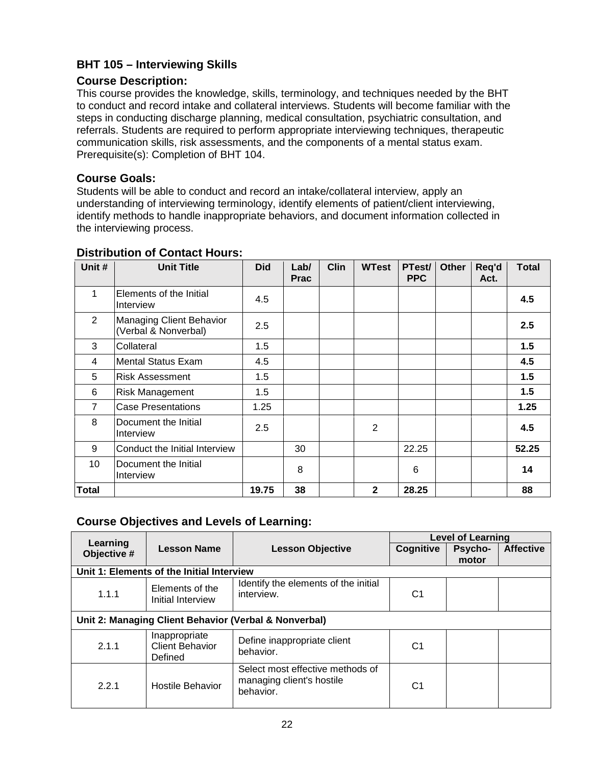# <span id="page-21-0"></span>**BHT 105 – Interviewing Skills**

# **Course Description:**

This course provides the knowledge, skills, terminology, and techniques needed by the BHT to conduct and record intake and collateral interviews. Students will become familiar with the steps in conducting discharge planning, medical consultation, psychiatric consultation, and referrals. Students are required to perform appropriate interviewing techniques, therapeutic communication skills, risk assessments, and the components of a mental status exam. Prerequisite(s): Completion of BHT 104.

# **Course Goals:**

Students will be able to conduct and record an intake/collateral interview, apply an understanding of interviewing terminology, identify elements of patient/client interviewing, identify methods to handle inappropriate behaviors, and document information collected in the interviewing process.

| Unit #         | <b>Unit Title</b>                                | <b>Did</b> | Lab/<br><b>Prac</b> | <b>Clin</b> | <b>WTest</b> | PTest/<br><b>PPC</b> | <b>Other</b> | Req'd<br>Act. | <b>Total</b> |
|----------------|--------------------------------------------------|------------|---------------------|-------------|--------------|----------------------|--------------|---------------|--------------|
| 1              | Elements of the Initial<br>Interview             | 4.5        |                     |             |              |                      |              |               | 4.5          |
| 2              | Managing Client Behavior<br>(Verbal & Nonverbal) | 2.5        |                     |             |              |                      |              |               | 2.5          |
| 3              | Collateral                                       | 1.5        |                     |             |              |                      |              |               | 1.5          |
| 4              | <b>Mental Status Exam</b>                        | 4.5        |                     |             |              |                      |              |               | 4.5          |
| 5              | <b>Risk Assessment</b>                           | 1.5        |                     |             |              |                      |              |               | 1.5          |
| 6              | Risk Management                                  | 1.5        |                     |             |              |                      |              |               | 1.5          |
| $\overline{7}$ | <b>Case Presentations</b>                        | 1.25       |                     |             |              |                      |              |               | 1.25         |
| 8              | Document the Initial<br>Interview                | 2.5        |                     |             | 2            |                      |              |               | 4.5          |
| 9              | Conduct the Initial Interview                    |            | 30                  |             |              | 22.25                |              |               | 52.25        |
| 10             | Document the Initial<br>Interview                |            | 8                   |             |              | 6                    |              |               | 14           |
| <b>Total</b>   |                                                  | 19.75      | 38                  |             | $\mathbf{2}$ | 28.25                |              |               | 88           |

# **Distribution of Contact Hours:**

|                                           |                                                       |                                                                            | Level of Learning |                         |                  |  |  |  |  |
|-------------------------------------------|-------------------------------------------------------|----------------------------------------------------------------------------|-------------------|-------------------------|------------------|--|--|--|--|
| Learning<br>Objective #                   | <b>Lesson Name</b>                                    | <b>Lesson Objective</b>                                                    | Cognitive         | <b>Psycho-</b><br>motor | <b>Affective</b> |  |  |  |  |
| Unit 1: Elements of the Initial Interview |                                                       |                                                                            |                   |                         |                  |  |  |  |  |
| 1.1.1                                     | Elements of the<br>Initial Interview                  | Identify the elements of the initial<br>interview.                         | C1                |                         |                  |  |  |  |  |
|                                           | Unit 2: Managing Client Behavior (Verbal & Nonverbal) |                                                                            |                   |                         |                  |  |  |  |  |
| 2.1.1                                     | Inappropriate<br><b>Client Behavior</b><br>Defined    | Define inappropriate client<br>behavior.                                   | C1                |                         |                  |  |  |  |  |
| 2.2.1                                     | <b>Hostile Behavior</b>                               | Select most effective methods of<br>managing client's hostile<br>behavior. | C1                |                         |                  |  |  |  |  |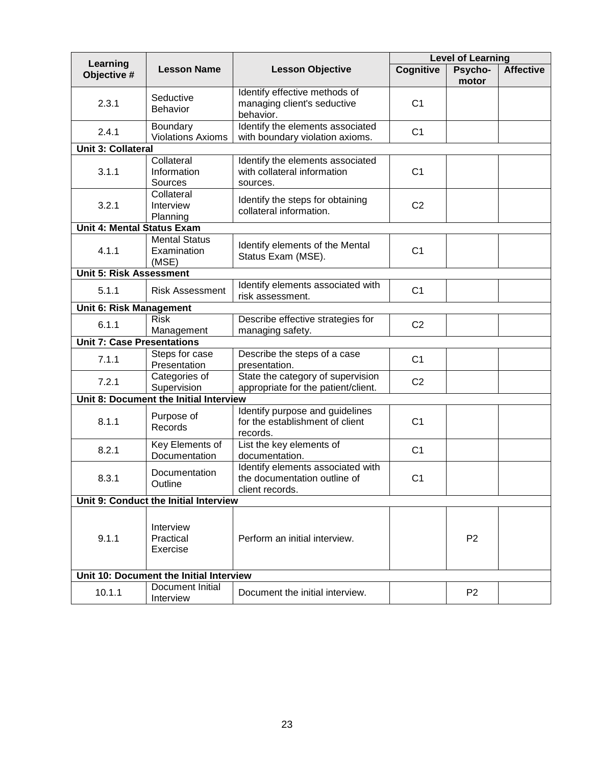|                                   |                                              |                                                                                      |                                                     | <b>Level of Learning</b> |                  |  |  |
|-----------------------------------|----------------------------------------------|--------------------------------------------------------------------------------------|-----------------------------------------------------|--------------------------|------------------|--|--|
| Learning<br>Objective #           | <b>Lesson Name</b>                           | <b>Lesson Objective</b>                                                              | Cognitive                                           | Psycho-<br>motor         | <b>Affective</b> |  |  |
| 2.3.1                             | Seductive<br><b>Behavior</b>                 | Identify effective methods of<br>managing client's seductive<br>behavior.            | C <sub>1</sub>                                      |                          |                  |  |  |
| 2.4.1                             | Boundary<br><b>Violations Axioms</b>         | Identify the elements associated<br>with boundary violation axioms.                  | C <sub>1</sub>                                      |                          |                  |  |  |
| <b>Unit 3: Collateral</b>         |                                              |                                                                                      |                                                     |                          |                  |  |  |
| 3.1.1                             | Collateral<br>Information<br>Sources         | Identify the elements associated<br>with collateral information<br>sources.          | C <sub>1</sub>                                      |                          |                  |  |  |
| 3.2.1                             | Collateral<br>Interview<br>Planning          | Identify the steps for obtaining<br>collateral information.                          | C <sub>2</sub>                                      |                          |                  |  |  |
| <b>Unit 4: Mental Status Exam</b> |                                              |                                                                                      |                                                     |                          |                  |  |  |
| 4.1.1                             | <b>Mental Status</b><br>Examination<br>(MSE) | Identify elements of the Mental<br>Status Exam (MSE).                                | C <sub>1</sub>                                      |                          |                  |  |  |
| <b>Unit 5: Risk Assessment</b>    |                                              |                                                                                      |                                                     |                          |                  |  |  |
| 5.1.1                             | <b>Risk Assessment</b>                       | Identify elements associated with<br>risk assessment.                                | C <sub>1</sub>                                      |                          |                  |  |  |
| Unit 6: Risk Management           |                                              |                                                                                      |                                                     |                          |                  |  |  |
| 6.1.1                             | <b>Risk</b><br>Management                    | managing safety.                                                                     | Describe effective strategies for<br>C <sub>2</sub> |                          |                  |  |  |
| <b>Unit 7: Case Presentations</b> |                                              |                                                                                      |                                                     |                          |                  |  |  |
| 7.1.1                             | Steps for case<br>Presentation               | Describe the steps of a case<br>presentation.                                        | C <sub>1</sub>                                      |                          |                  |  |  |
| 7.2.1                             | Categories of<br>Supervision                 | State the category of supervision<br>appropriate for the patient/client.             | C <sub>2</sub>                                      |                          |                  |  |  |
|                                   | Unit 8: Document the Initial Interview       |                                                                                      |                                                     |                          |                  |  |  |
| 8.1.1                             | Purpose of<br>Records                        | Identify purpose and guidelines<br>for the establishment of client<br>records.       | C <sub>1</sub>                                      |                          |                  |  |  |
| 8.2.1                             | Key Elements of<br>Documentation             | List the key elements of<br>documentation.                                           | C <sub>1</sub>                                      |                          |                  |  |  |
| 8.3.1                             | Documentation<br>Outline                     | Identify elements associated with<br>the documentation outline of<br>client records. | C <sub>1</sub>                                      |                          |                  |  |  |
|                                   | Unit 9: Conduct the Initial Interview        |                                                                                      |                                                     |                          |                  |  |  |
| 9.1.1                             | Interview<br>Practical<br>Exercise           | Perform an initial interview.                                                        |                                                     | P <sub>2</sub>           |                  |  |  |
|                                   | Unit 10: Document the Initial Interview      |                                                                                      |                                                     |                          |                  |  |  |
| 10.1.1                            | Document Initial<br>Interview                | Document the initial interview.                                                      |                                                     | P <sub>2</sub>           |                  |  |  |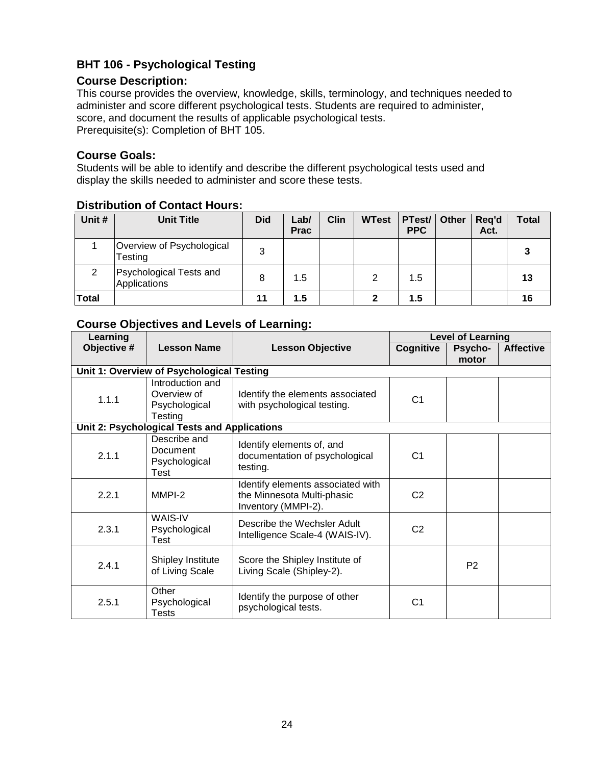# <span id="page-23-0"></span>**BHT 106 - Psychological Testing**

### **Course Description:**

This course provides the overview, knowledge, skills, terminology, and techniques needed to administer and score different psychological tests. Students are required to administer, score, and document the results of applicable psychological tests. Prerequisite(s): Completion of BHT 105.

# **Course Goals:**

Students will be able to identify and describe the different psychological tests used and display the skills needed to administer and score these tests.

# **Distribution of Contact Hours:**

| Unit #       | <b>Unit Title</b>                       | <b>Did</b> | Lab/<br><b>Prac</b> | <b>Clin</b> | <b>WTest</b> | PTest/ Other<br><b>PPC</b> | Req'd<br>Act. | Total |
|--------------|-----------------------------------------|------------|---------------------|-------------|--------------|----------------------------|---------------|-------|
|              | Overview of Psychological<br>Testing    | 3          |                     |             |              |                            |               |       |
| 2            | Psychological Tests and<br>Applications | 8          | 1.5                 |             | 2            | 1.5                        |               | 13    |
| <b>Total</b> |                                         | 11         | 1.5                 |             |              | 1.5                        |               | 16    |

| Learning    |                                                             |                                                                                        | <b>Level of Learning</b> |                  |                  |
|-------------|-------------------------------------------------------------|----------------------------------------------------------------------------------------|--------------------------|------------------|------------------|
| Objective # | <b>Lesson Name</b>                                          | <b>Lesson Objective</b>                                                                | Cognitive                | Psycho-<br>motor | <b>Affective</b> |
|             | Unit 1: Overview of Psychological Testing                   |                                                                                        |                          |                  |                  |
| 1.1.1       | Introduction and<br>Overview of<br>Psychological<br>Testing | Identify the elements associated<br>with psychological testing.                        | C <sub>1</sub>           |                  |                  |
|             | <b>Unit 2: Psychological Tests and Applications</b>         |                                                                                        |                          |                  |                  |
| 2.1.1       | Describe and<br>Document<br>Psychological<br>Test           | Identify elements of, and<br>documentation of psychological<br>testing.                | C <sub>1</sub>           |                  |                  |
| 2.2.1       | MMPI-2                                                      | Identify elements associated with<br>the Minnesota Multi-phasic<br>Inventory (MMPI-2). | C <sub>2</sub>           |                  |                  |
| 2.3.1       | WAIS-IV<br>Psychological<br>Test                            | Describe the Wechsler Adult<br>Intelligence Scale-4 (WAIS-IV).                         | C <sub>2</sub>           |                  |                  |
| 2.4.1       | <b>Shipley Institute</b><br>of Living Scale                 | Score the Shipley Institute of<br>Living Scale (Shipley-2).                            |                          | P <sub>2</sub>   |                  |
| 2.5.1       | Other<br>Psychological<br>Tests                             | Identify the purpose of other<br>psychological tests.                                  | C <sub>1</sub>           |                  |                  |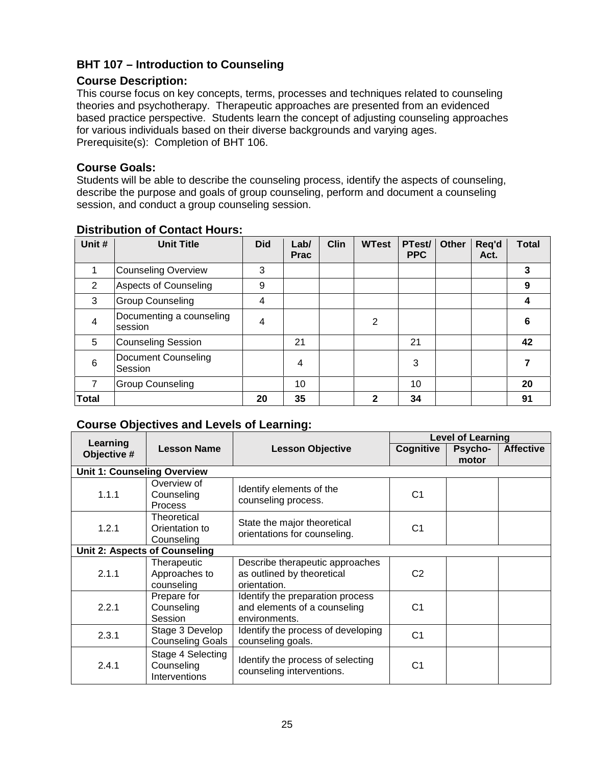# <span id="page-24-0"></span>**BHT 107 – Introduction to Counseling**

# **Course Description:**

This course focus on key concepts, terms, processes and techniques related to counseling theories and psychotherapy. Therapeutic approaches are presented from an evidenced based practice perspective. Students learn the concept of adjusting counseling approaches for various individuals based on their diverse backgrounds and varying ages. Prerequisite(s): Completion of BHT 106.

### **Course Goals:**

Students will be able to describe the counseling process, identify the aspects of counseling, describe the purpose and goals of group counseling, perform and document a counseling session, and conduct a group counseling session.

| Unit #         | <b>Unit Title</b>                     | <b>Did</b> | Lab/<br><b>Prac</b> | <b>Clin</b> | <b>WTest</b> | PTest/<br><b>PPC</b> | <b>Other</b> | Req'd<br>Act. | <b>Total</b> |
|----------------|---------------------------------------|------------|---------------------|-------------|--------------|----------------------|--------------|---------------|--------------|
|                | <b>Counseling Overview</b>            | 3          |                     |             |              |                      |              |               | 3            |
| 2              | <b>Aspects of Counseling</b>          | 9          |                     |             |              |                      |              |               | 9            |
| 3              | <b>Group Counseling</b>               | 4          |                     |             |              |                      |              |               | 4            |
| 4              | Documenting a counseling<br>session   | 4          |                     |             | 2            |                      |              |               | 6            |
| 5              | <b>Counseling Session</b>             |            | 21                  |             |              | 21                   |              |               | 42           |
| 6              | <b>Document Counseling</b><br>Session |            | 4                   |             |              | 3                    |              |               |              |
| $\overline{7}$ | <b>Group Counseling</b>               |            | 10                  |             |              | 10                   |              |               | 20           |
| <b>Total</b>   |                                       | 20         | 35                  |             | 2            | 34                   |              |               | 91           |

### **Distribution of Contact Hours:**

|                                    |                                                  |                                                                                   | <b>Level of Learning</b> |                         |                  |  |
|------------------------------------|--------------------------------------------------|-----------------------------------------------------------------------------------|--------------------------|-------------------------|------------------|--|
| Learning<br>Objective #            | <b>Lesson Name</b>                               | <b>Lesson Objective</b>                                                           | Cognitive                | <b>Psycho-</b><br>motor | <b>Affective</b> |  |
| <b>Unit 1: Counseling Overview</b> |                                                  |                                                                                   |                          |                         |                  |  |
| 1.1.1                              | Overview of<br>Counseling<br><b>Process</b>      | Identify elements of the<br>counseling process.                                   | C <sub>1</sub>           |                         |                  |  |
| 1.2.1                              | Theoretical<br>Orientation to<br>Counseling      | State the major theoretical<br>orientations for counseling.                       | C <sub>1</sub>           |                         |                  |  |
|                                    | Unit 2: Aspects of Counseling                    |                                                                                   |                          |                         |                  |  |
| 2.1.1                              | Therapeutic<br>Approaches to<br>counseling       | Describe therapeutic approaches<br>as outlined by theoretical<br>orientation.     | C <sub>2</sub>           |                         |                  |  |
| 2.2.1                              | Prepare for<br>Counseling<br>Session             | Identify the preparation process<br>and elements of a counseling<br>environments. | C <sub>1</sub>           |                         |                  |  |
| 2.3.1                              | Stage 3 Develop<br><b>Counseling Goals</b>       | Identify the process of developing<br>counseling goals.                           | C <sub>1</sub>           |                         |                  |  |
| 2.4.1                              | Stage 4 Selecting<br>Counseling<br>Interventions | Identify the process of selecting<br>counseling interventions.                    | C <sub>1</sub>           |                         |                  |  |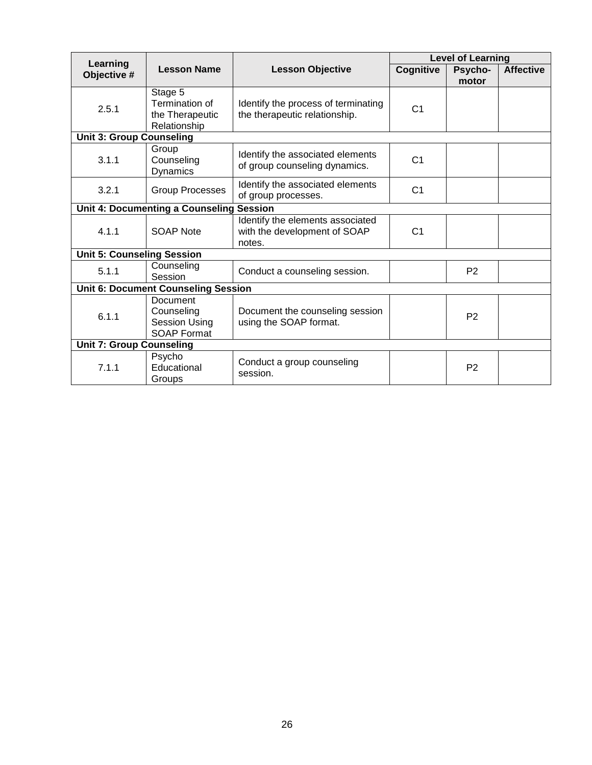|                                          |                                                                             |                                                                            |                | <b>Level of Learning</b> |                  |
|------------------------------------------|-----------------------------------------------------------------------------|----------------------------------------------------------------------------|----------------|--------------------------|------------------|
| Learning<br>Objective #                  | <b>Lesson Name</b>                                                          | <b>Lesson Objective</b>                                                    | Cognitive      | Psycho-<br>motor         | <b>Affective</b> |
| 2.5.1                                    | Stage 5<br>Termination of<br>the Therapeutic<br>Relationship                | Identify the process of terminating<br>the therapeutic relationship.       | C <sub>1</sub> |                          |                  |
| <b>Unit 3: Group Counseling</b>          |                                                                             |                                                                            |                |                          |                  |
| 3.1.1                                    | Group<br>Counseling<br>Dynamics                                             | Identify the associated elements<br>of group counseling dynamics.          | C <sub>1</sub> |                          |                  |
| 3.2.1                                    | <b>Group Processes</b>                                                      | Identify the associated elements<br>of group processes.                    | C <sub>1</sub> |                          |                  |
| Unit 4: Documenting a Counseling Session |                                                                             |                                                                            |                |                          |                  |
| 4.1.1                                    | SOAP Note                                                                   | Identify the elements associated<br>with the development of SOAP<br>notes. | C <sub>1</sub> |                          |                  |
| <b>Unit 5: Counseling Session</b>        |                                                                             |                                                                            |                |                          |                  |
| 5.1.1                                    | Counseling<br>Session                                                       | Conduct a counseling session.                                              |                | P <sub>2</sub>           |                  |
|                                          | <b>Unit 6: Document Counseling Session</b>                                  |                                                                            |                |                          |                  |
| 6.1.1                                    | <b>Document</b><br>Counseling<br><b>Session Using</b><br><b>SOAP Format</b> | Document the counseling session<br>using the SOAP format.                  |                | P <sub>2</sub>           |                  |
| <b>Unit 7: Group Counseling</b>          |                                                                             |                                                                            |                |                          |                  |
| 7.1.1                                    | Psycho<br>Educational<br>Groups                                             | Conduct a group counseling<br>session.                                     |                | P <sub>2</sub>           |                  |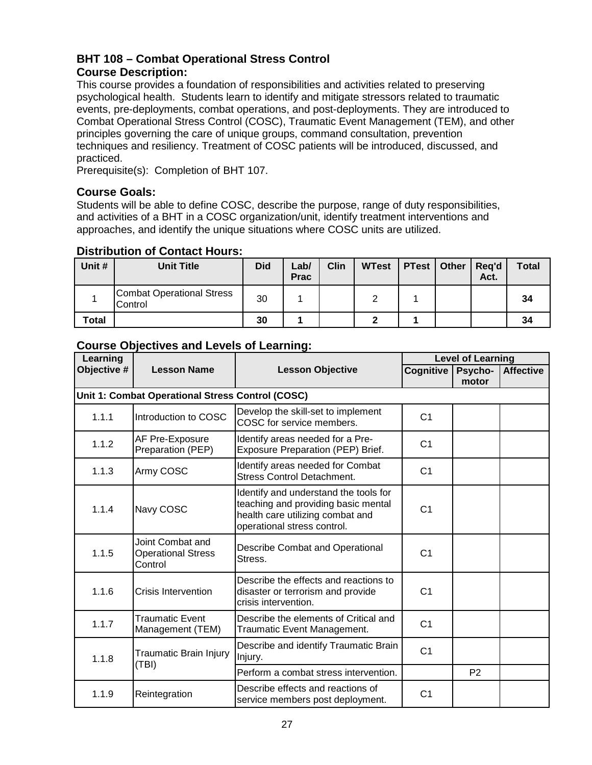# <span id="page-26-0"></span>**BHT 108 – Combat Operational Stress Control Course Description:**

This course provides a foundation of responsibilities and activities related to preserving psychological health. Students learn to identify and mitigate stressors related to traumatic events, pre-deployments, combat operations, and post-deployments. They are introduced to Combat Operational Stress Control (COSC), Traumatic Event Management (TEM), and other principles governing the care of unique groups, command consultation, prevention techniques and resiliency. Treatment of COSC patients will be introduced, discussed, and practiced.

Prerequisite(s): Completion of BHT 107.

## **Course Goals:**

Students will be able to define COSC, describe the purpose, range of duty responsibilities, and activities of a BHT in a COSC organization/unit, identify treatment interventions and approaches, and identify the unique situations where COSC units are utilized.

# **Distribution of Contact Hours:**

| Unit #       | <b>Unit Title</b>                           | <b>Did</b> | Lab/<br><b>Prac</b> | <b>Clin</b> | <b>WTest</b> | <b>PTest</b>   Other | Reg'd<br>Act. | <b>Total</b> |
|--------------|---------------------------------------------|------------|---------------------|-------------|--------------|----------------------|---------------|--------------|
|              | <b>Combat Operational Stress</b><br>Control | 30         |                     |             |              |                      |               | 34           |
| <b>Total</b> |                                             | 30         |                     |             |              |                      |               | 34           |

| Learning    |                                                          |                                                                                                                                                 | <b>Level of Learning</b> |                  |                  |
|-------------|----------------------------------------------------------|-------------------------------------------------------------------------------------------------------------------------------------------------|--------------------------|------------------|------------------|
| Objective # | <b>Lesson Name</b>                                       | <b>Lesson Objective</b>                                                                                                                         | Cognitive                | Psycho-<br>motor | <b>Affective</b> |
|             | Unit 1: Combat Operational Stress Control (COSC)         |                                                                                                                                                 |                          |                  |                  |
| 1.1.1       | Introduction to COSC                                     | Develop the skill-set to implement<br>COSC for service members.                                                                                 | C <sub>1</sub>           |                  |                  |
| 1.1.2       | AF Pre-Exposure<br>Preparation (PEP)                     | Identify areas needed for a Pre-<br>Exposure Preparation (PEP) Brief.                                                                           | C <sub>1</sub>           |                  |                  |
| 1.1.3       | Army COSC                                                | Identify areas needed for Combat<br><b>Stress Control Detachment.</b>                                                                           | C <sub>1</sub>           |                  |                  |
| 1.1.4       | Navy COSC                                                | Identify and understand the tools for<br>teaching and providing basic mental<br>health care utilizing combat and<br>operational stress control. | C <sub>1</sub>           |                  |                  |
| 1.1.5       | Joint Combat and<br><b>Operational Stress</b><br>Control | Describe Combat and Operational<br>Stress.                                                                                                      | C <sub>1</sub>           |                  |                  |
| 1.1.6       | <b>Crisis Intervention</b>                               | Describe the effects and reactions to<br>disaster or terrorism and provide<br>crisis intervention.                                              | C <sub>1</sub>           |                  |                  |
| 1.1.7       | <b>Traumatic Event</b><br>Management (TEM)               | Describe the elements of Critical and<br>Traumatic Event Management.                                                                            | C <sub>1</sub>           |                  |                  |
| 1.1.8       | Traumatic Brain Injury                                   | Describe and identify Traumatic Brain<br>Injury.                                                                                                | C <sub>1</sub>           |                  |                  |
| (TBI)       |                                                          | Perform a combat stress intervention.                                                                                                           |                          | P <sub>2</sub>   |                  |
| 1.1.9       | Reintegration                                            | Describe effects and reactions of<br>service members post deployment.                                                                           | C <sub>1</sub>           |                  |                  |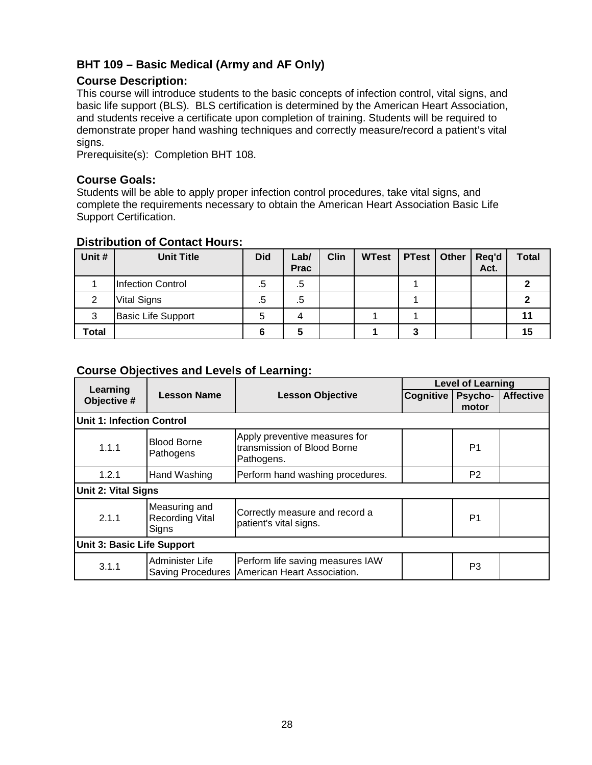# <span id="page-27-0"></span>**BHT 109 – Basic Medical (Army and AF Only)**

# **Course Description:**

This course will introduce students to the basic concepts of infection control, vital signs, and basic life support (BLS). BLS certification is determined by the American Heart Association, and students receive a certificate upon completion of training. Students will be required to demonstrate proper hand washing techniques and correctly measure/record a patient's vital signs.

Prerequisite(s): Completion BHT 108.

#### **Course Goals:**

Students will be able to apply proper infection control procedures, take vital signs, and complete the requirements necessary to obtain the American Heart Association Basic Life Support Certification.

| Unit # | <b>Unit Title</b>         | <b>Did</b> | Lab/<br><b>Prac</b> | <b>Clin</b> | <b>WTest</b> | <b>PTest</b> | Other | Req'd<br>Act. | <b>Total</b> |
|--------|---------------------------|------------|---------------------|-------------|--------------|--------------|-------|---------------|--------------|
|        | <b>Infection Control</b>  | .5         | .5                  |             |              |              |       |               |              |
| 2      | <b>Vital Signs</b>        | .5         | .5                  |             |              |              |       |               |              |
| 3      | <b>Basic Life Support</b> | 5          | 4                   |             |              |              |       |               |              |
| Total  |                           |            |                     |             |              | 3            |       |               | 15           |

#### **Distribution of Contact Hours:**

|                            |                                                  |                                                                            |           | <b>Level of Learning</b> |                  |  |  |
|----------------------------|--------------------------------------------------|----------------------------------------------------------------------------|-----------|--------------------------|------------------|--|--|
| Learning<br>Objective #    | <b>Lesson Name</b>                               | <b>Lesson Objective</b>                                                    | Cognitive | <b>Psycho-</b>           | <b>Affective</b> |  |  |
|                            |                                                  |                                                                            |           | motor                    |                  |  |  |
| Unit 1: Infection Control  |                                                  |                                                                            |           |                          |                  |  |  |
| 1.1.1                      | <b>Blood Borne</b><br>Pathogens                  | Apply preventive measures for<br>transmission of Blood Borne<br>Pathogens. |           | P <sub>1</sub>           |                  |  |  |
| 1.2.1                      | Hand Washing                                     | Perform hand washing procedures.                                           |           | P <sub>2</sub>           |                  |  |  |
| <b>Unit 2: Vital Signs</b> |                                                  |                                                                            |           |                          |                  |  |  |
| 2.1.1                      | Measuring and<br><b>Recording Vital</b><br>Signs | Correctly measure and record a<br>patient's vital signs.                   |           | P <sub>1</sub>           |                  |  |  |
| Unit 3: Basic Life Support |                                                  |                                                                            |           |                          |                  |  |  |
| 3.1.1                      | Administer Life<br>Saving Procedures             | Perform life saving measures IAW<br>American Heart Association.            |           | P3                       |                  |  |  |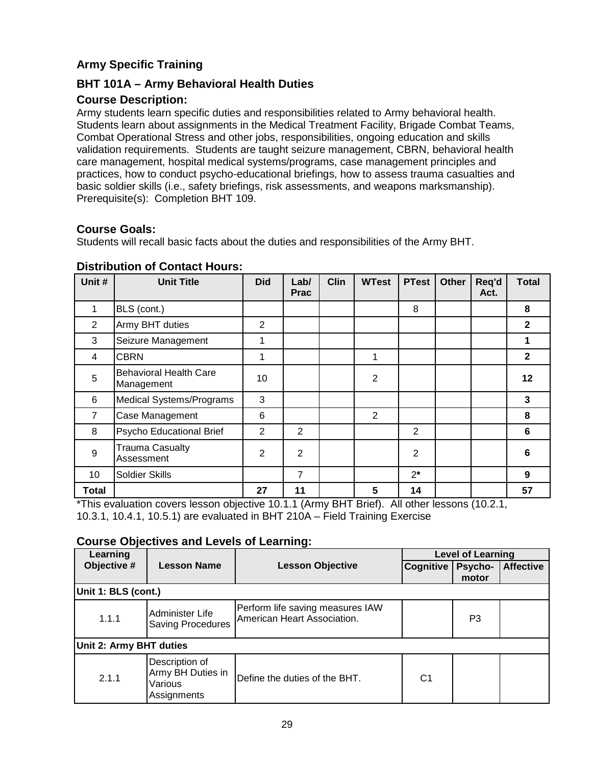# <span id="page-28-0"></span>**Army Specific Training**

# <span id="page-28-1"></span>**BHT 101A – Army Behavioral Health Duties**

# **Course Description:**

Army students learn specific duties and responsibilities related to Army behavioral health. Students learn about assignments in the Medical Treatment Facility, Brigade Combat Teams, Combat Operational Stress and other jobs, responsibilities, ongoing education and skills validation requirements. Students are taught seizure management, CBRN, behavioral health care management, hospital medical systems/programs, case management principles and practices, how to conduct psycho-educational briefings, how to assess trauma casualties and basic soldier skills (i.e., safety briefings, risk assessments, and weapons marksmanship). Prerequisite(s): Completion BHT 109.

# **Course Goals:**

Students will recall basic facts about the duties and responsibilities of the Army BHT.

| Unit #         | <b>Unit Title</b>                                                          | <b>Did</b>     | Lab/<br><b>Prac</b> | <b>Clin</b> | <b>WTest</b>   | <b>PTest</b>         | <b>Other</b> | Req'd<br>Act. | <b>Total</b> |
|----------------|----------------------------------------------------------------------------|----------------|---------------------|-------------|----------------|----------------------|--------------|---------------|--------------|
|                | BLS (cont.)                                                                |                |                     |             |                | 8                    |              |               | 8            |
| 2              | Army BHT duties                                                            | $\overline{2}$ |                     |             |                |                      |              |               | $\mathbf{2}$ |
| 3              | Seizure Management                                                         | 1              |                     |             |                |                      |              |               | 1            |
| 4              | <b>CBRN</b>                                                                | 1              |                     |             | 1              |                      |              |               | $\mathbf{2}$ |
| 5              | <b>Behavioral Health Care</b><br>Management                                | 10             |                     |             | $\overline{2}$ |                      |              |               | $12 \,$      |
| 6              | <b>Medical Systems/Programs</b>                                            | 3              |                     |             |                |                      |              |               | 3            |
| $\overline{7}$ | Case Management                                                            | 6              |                     |             | $\overline{2}$ |                      |              |               | 8            |
| 8              | Psycho Educational Brief                                                   | 2              | 2                   |             |                | 2                    |              |               | 6            |
| 9              | <b>Trauma Casualty</b><br>Assessment                                       | $\overline{2}$ | $\overline{2}$      |             |                | $\overline{2}$       |              |               | 6            |
| 10             | Soldier Skills                                                             |                | 7                   |             |                | $2^*$                |              |               | 9            |
| Total          | $*$ This supporting covered consequently of 0.4.4. (Approximately Delated) | 27             | 11                  |             | 5              | 14<br>$\Delta H = 1$ |              |               | 57           |

# **Distribution of Contact Hours:**

This evaluation covers lesson objective 10.1.1 (Army BHT Brief). All other lessons (10.2.1, 10.3.1, 10.4.1, 10.5.1) are evaluated in BHT 210A – Field Training Exercise

| Learning                |                                                               | <b>Level of Learning</b>                                        |                  |                  |                  |  |  |  |
|-------------------------|---------------------------------------------------------------|-----------------------------------------------------------------|------------------|------------------|------------------|--|--|--|
| Objective #             | <b>Lesson Name</b>                                            | <b>Lesson Objective</b>                                         | <b>Cognitive</b> | Psycho-<br>motor | <b>Affective</b> |  |  |  |
|                         | Unit 1: BLS (cont.)                                           |                                                                 |                  |                  |                  |  |  |  |
| 1.1.1                   | Administer Life<br><b>Saving Procedures</b>                   | Perform life saving measures IAW<br>American Heart Association. |                  | P3               |                  |  |  |  |
| Unit 2: Army BHT duties |                                                               |                                                                 |                  |                  |                  |  |  |  |
| 2.1.1                   | Description of<br>Army BH Duties in<br>Various<br>Assignments | Define the duties of the BHT.                                   | C <sub>1</sub>   |                  |                  |  |  |  |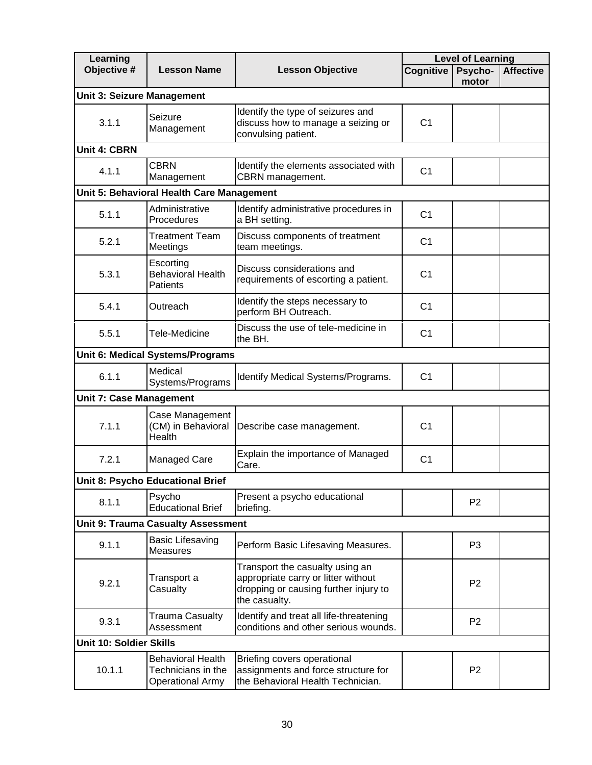| Learning                       |                                                                           |                                                                                                                                  |                | <b>Level of Learning</b> |                  |
|--------------------------------|---------------------------------------------------------------------------|----------------------------------------------------------------------------------------------------------------------------------|----------------|--------------------------|------------------|
| Objective #                    | <b>Lesson Name</b>                                                        | <b>Lesson Objective</b>                                                                                                          | Cognitive      | Psycho-<br>motor         | <b>Affective</b> |
| Unit 3: Seizure Management     |                                                                           |                                                                                                                                  |                |                          |                  |
| 3.1.1                          | Seizure<br>Management                                                     | Identify the type of seizures and<br>discuss how to manage a seizing or<br>convulsing patient.                                   | C <sub>1</sub> |                          |                  |
| <b>Unit 4: CBRN</b>            |                                                                           |                                                                                                                                  |                |                          |                  |
| 4.1.1                          | <b>CBRN</b><br>Management                                                 | Identify the elements associated with<br>CBRN management.                                                                        | C <sub>1</sub> |                          |                  |
|                                | Unit 5: Behavioral Health Care Management                                 |                                                                                                                                  |                |                          |                  |
| 5.1.1                          | Administrative<br>Procedures                                              | Identify administrative procedures in<br>a BH setting.                                                                           | C <sub>1</sub> |                          |                  |
| 5.2.1                          | <b>Treatment Team</b><br>Meetings                                         | Discuss components of treatment<br>team meetings.                                                                                | C <sub>1</sub> |                          |                  |
| 5.3.1                          | Escorting<br><b>Behavioral Health</b><br>Patients                         | Discuss considerations and<br>requirements of escorting a patient.                                                               | C <sub>1</sub> |                          |                  |
| 5.4.1                          | Outreach                                                                  | Identify the steps necessary to<br>perform BH Outreach.                                                                          | C <sub>1</sub> |                          |                  |
| 5.5.1                          | Tele-Medicine                                                             | Discuss the use of tele-medicine in<br>the BH.                                                                                   | C <sub>1</sub> |                          |                  |
|                                | Unit 6: Medical Systems/Programs                                          |                                                                                                                                  |                |                          |                  |
| 6.1.1                          | Medical<br>Systems/Programs                                               | Identify Medical Systems/Programs.                                                                                               | C <sub>1</sub> |                          |                  |
| <b>Unit 7: Case Management</b> |                                                                           |                                                                                                                                  |                |                          |                  |
| 7.1.1                          | Case Management<br>(CM) in Behavioral<br>Health                           | Describe case management.                                                                                                        | C <sub>1</sub> |                          |                  |
| 7.2.1                          | Managed Care                                                              | Explain the importance of Managed<br>Care.                                                                                       | C <sub>1</sub> |                          |                  |
|                                | Unit 8: Psycho Educational Brief                                          |                                                                                                                                  |                |                          |                  |
| 8.1.1                          | Psycho<br><b>Educational Brief</b>                                        | Present a psycho educational<br>briefing.                                                                                        |                | P <sub>2</sub>           |                  |
|                                | <b>Unit 9: Trauma Casualty Assessment</b>                                 |                                                                                                                                  |                |                          |                  |
| 9.1.1                          | <b>Basic Lifesaving</b><br>Measures                                       | Perform Basic Lifesaving Measures.                                                                                               |                | P <sub>3</sub>           |                  |
| 9.2.1                          | Transport a<br>Casualty                                                   | Transport the casualty using an<br>appropriate carry or litter without<br>dropping or causing further injury to<br>the casualty. |                | P <sub>2</sub>           |                  |
| 9.3.1                          | Trauma Casualty<br>Assessment                                             | Identify and treat all life-threatening<br>conditions and other serious wounds.                                                  |                | P <sub>2</sub>           |                  |
| Unit 10: Soldier Skills        |                                                                           |                                                                                                                                  |                |                          |                  |
| 10.1.1                         | <b>Behavioral Health</b><br>Technicians in the<br><b>Operational Army</b> | Briefing covers operational<br>assignments and force structure for<br>the Behavioral Health Technician.                          |                | P <sub>2</sub>           |                  |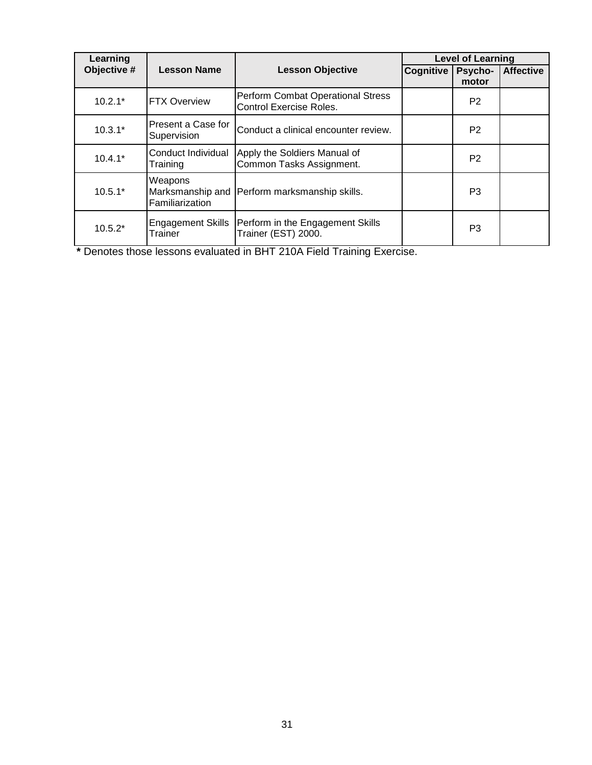| Learning    |                                                |                                                                     |           | <b>Level of Learning</b> |                  |
|-------------|------------------------------------------------|---------------------------------------------------------------------|-----------|--------------------------|------------------|
| Objective # | <b>Lesson Name</b>                             | <b>Lesson Objective</b>                                             | Cognitive | Psycho-<br>motor         | <b>Affective</b> |
| $10.2.1*$   | <b>FTX Overview</b>                            | <b>Perform Combat Operational Stress</b><br>Control Exercise Roles. |           | P <sub>2</sub>           |                  |
| $10.3.1*$   | Present a Case for<br>Supervision              | Conduct a clinical encounter review.                                |           | P <sub>2</sub>           |                  |
| $10.4.1*$   | Conduct Individual<br>Training                 | Apply the Soldiers Manual of<br>Common Tasks Assignment.            |           | P <sub>2</sub>           |                  |
| $10.5.1*$   | Weapons<br>Marksmanship and<br>Familiarization | <b>Perform marksmanship skills.</b>                                 |           | P <sub>3</sub>           |                  |
| $10.5.2*$   | <b>Engagement Skills</b><br>Trainer            | Perform in the Engagement Skills<br>Trainer (EST) 2000.             |           | P <sub>3</sub>           |                  |

**\*** Denotes those lessons evaluated in BHT 210A Field Training Exercise.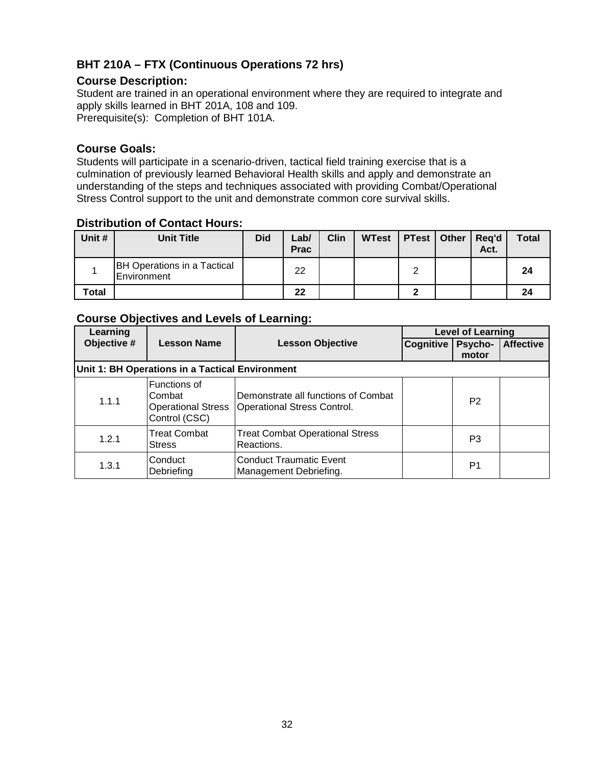# <span id="page-31-0"></span>**BHT 210A – FTX (Continuous Operations 72 hrs)**

# **Course Description:**

Student are trained in an operational environment where they are required to integrate and apply skills learned in BHT 201A, 108 and 109. Prerequisite(s): Completion of BHT 101A.

#### **Course Goals:**

Students will participate in a scenario-driven, tactical field training exercise that is a culmination of previously learned Behavioral Health skills and apply and demonstrate an understanding of the steps and techniques associated with providing Combat/Operational Stress Control support to the unit and demonstrate common core survival skills.

## **Distribution of Contact Hours:**

| Unit # | <b>Unit Title</b>                                 | <b>Did</b> | ∟ab/<br><b>Prac</b> | <b>Clin</b> | <b>WTest</b> | <b>PTest   Other</b> | Reg'd<br>Act. | <b>Total</b> |
|--------|---------------------------------------------------|------------|---------------------|-------------|--------------|----------------------|---------------|--------------|
|        | <b>BH Operations in a Tactical</b><br>Environment |            | 22                  |             |              |                      |               | 24           |
| Total  |                                                   |            | 22                  |             |              |                      |               | 24           |

| Learning                                        |                                                                      |                                                                    | <b>Level of Learning</b> |                |                  |  |  |  |  |  |
|-------------------------------------------------|----------------------------------------------------------------------|--------------------------------------------------------------------|--------------------------|----------------|------------------|--|--|--|--|--|
| Objective #                                     | <b>Lesson Name</b>                                                   | <b>Lesson Objective</b>                                            | Cognitive   Psycho-      | motor          | <b>Affective</b> |  |  |  |  |  |
| Unit 1: BH Operations in a Tactical Environment |                                                                      |                                                                    |                          |                |                  |  |  |  |  |  |
| 1.1.1                                           | Functions of<br>Combat<br><b>Operational Stress</b><br>Control (CSC) | Demonstrate all functions of Combat<br>Operational Stress Control. |                          | P <sub>2</sub> |                  |  |  |  |  |  |
| 1.2.1                                           | <b>Treat Combat</b><br><b>Stress</b>                                 | <b>Treat Combat Operational Stress</b><br>Reactions.               |                          | P3             |                  |  |  |  |  |  |
| 1.3.1                                           | Conduct<br>Debriefing                                                | <b>Conduct Traumatic Event</b><br>Management Debriefing.           |                          | P1             |                  |  |  |  |  |  |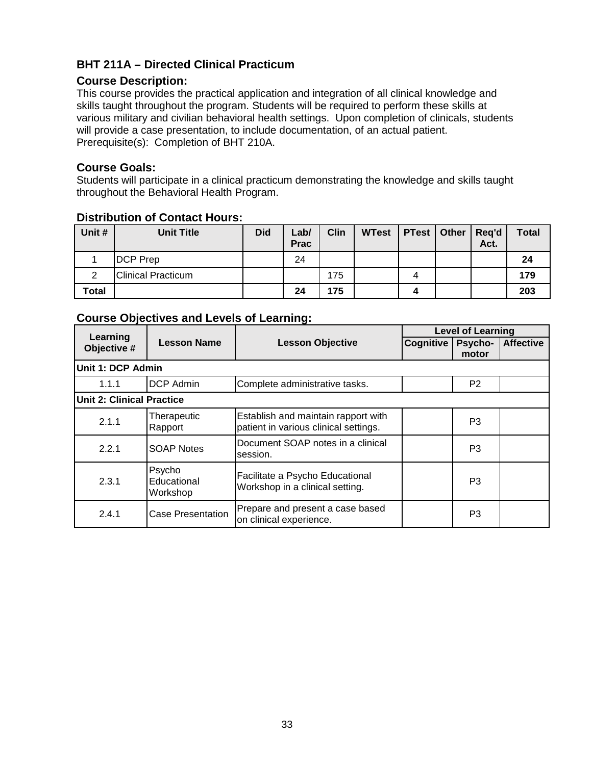# <span id="page-32-0"></span>**BHT 211A – Directed Clinical Practicum**

## **Course Description:**

This course provides the practical application and integration of all clinical knowledge and skills taught throughout the program. Students will be required to perform these skills at various military and civilian behavioral health settings. Upon completion of clinicals, students will provide a case presentation, to include documentation, of an actual patient. Prerequisite(s): Completion of BHT 210A.

### **Course Goals:**

Students will participate in a clinical practicum demonstrating the knowledge and skills taught throughout the Behavioral Health Program.

|        | PIVUINUUTUVII VI VVIITUVT IIVUI VI |            |                     |             |              |                      |  |               |              |  |  |
|--------|------------------------------------|------------|---------------------|-------------|--------------|----------------------|--|---------------|--------------|--|--|
| Unit # | <b>Unit Title</b>                  | <b>Did</b> | Lab/<br><b>Prac</b> | <b>Clin</b> | <b>WTest</b> | <b>PTest   Other</b> |  | Reg'd<br>Act. | <b>Total</b> |  |  |
|        | <b>DCP</b> Prep                    |            | 24                  |             |              |                      |  |               | 24           |  |  |
|        | <b>Clinical Practicum</b>          |            |                     | 175         |              | 4                    |  |               | 179          |  |  |
| Total  |                                    |            | 24                  | 175         |              |                      |  |               | 203          |  |  |

# **Distribution of Contact Hours:**

|                                  |                                   |                                                                              | <b>Level of Learning</b> |                  |                  |  |  |  |  |
|----------------------------------|-----------------------------------|------------------------------------------------------------------------------|--------------------------|------------------|------------------|--|--|--|--|
| Learning<br>Objective #          | <b>Lesson Name</b>                | <b>Lesson Objective</b>                                                      | Cognitive                | Psycho-<br>motor | <b>Affective</b> |  |  |  |  |
|                                  | <b>Unit 1: DCP Admin</b>          |                                                                              |                          |                  |                  |  |  |  |  |
| 1.1.1                            | <b>DCP Admin</b>                  | Complete administrative tasks.                                               |                          | P <sub>2</sub>   |                  |  |  |  |  |
| <b>Unit 2: Clinical Practice</b> |                                   |                                                                              |                          |                  |                  |  |  |  |  |
| 2.1.1                            | Therapeutic<br>Rapport            | Establish and maintain rapport with<br>patient in various clinical settings. |                          | P <sub>3</sub>   |                  |  |  |  |  |
| 2.2.1                            | <b>SOAP Notes</b>                 | Document SOAP notes in a clinical<br>session.                                |                          | P <sub>3</sub>   |                  |  |  |  |  |
| 2.3.1                            | Psycho<br>Educational<br>Workshop | Facilitate a Psycho Educational<br>Workshop in a clinical setting.           |                          | P <sub>3</sub>   |                  |  |  |  |  |
| 2.4.1                            | Case Presentation                 | Prepare and present a case based<br>on clinical experience.                  |                          | P <sub>3</sub>   |                  |  |  |  |  |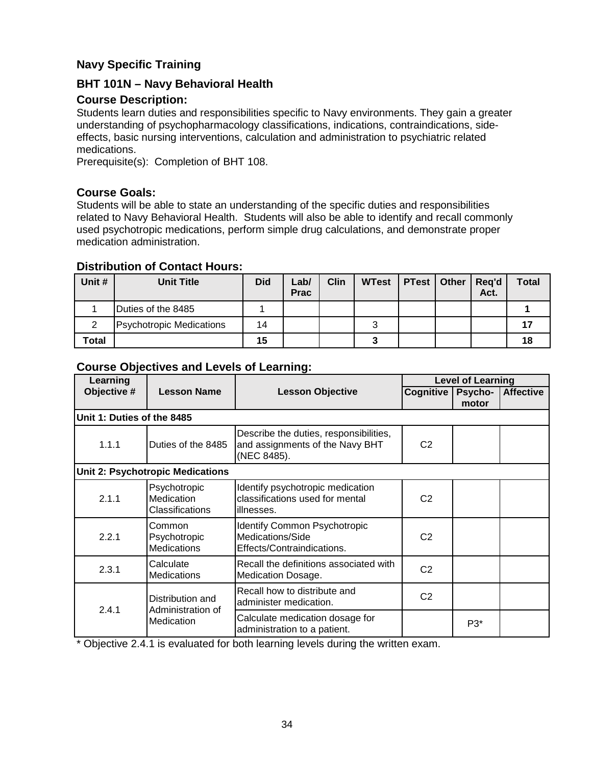# <span id="page-33-0"></span>**Navy Specific Training**

# <span id="page-33-1"></span>**BHT 101N – Navy Behavioral Health**

# **Course Description:**

Students learn duties and responsibilities specific to Navy environments. They gain a greater understanding of psychopharmacology classifications, indications, contraindications, sideeffects, basic nursing interventions, calculation and administration to psychiatric related medications.

Prerequisite(s): Completion of BHT 108.

# **Course Goals:**

Students will be able to state an understanding of the specific duties and responsibilities related to Navy Behavioral Health. Students will also be able to identify and recall commonly used psychotropic medications, perform simple drug calculations, and demonstrate proper medication administration.

### **Distribution of Contact Hours:**

| Unit # | <b>Unit Title</b>               | <b>Did</b> | ∟ab/<br><b>Prac</b> | <b>Clin</b> | <b>WTest</b> | <b>PTest   Other</b> | Reg'd<br>Act. | Total |
|--------|---------------------------------|------------|---------------------|-------------|--------------|----------------------|---------------|-------|
|        | Duties of the 8485              |            |                     |             |              |                      |               |       |
|        | <b>Psychotropic Medications</b> | 14         |                     |             |              |                      |               |       |
| Total  |                                 | 15         |                     |             |              |                      |               | 18    |

# **Course Objectives and Levels of Learning:**

| Learning                   |                                                     |                                                                                          | <b>Level of Learning</b> |         |                  |  |
|----------------------------|-----------------------------------------------------|------------------------------------------------------------------------------------------|--------------------------|---------|------------------|--|
| Objective #                | <b>Lesson Name</b>                                  | <b>Lesson Objective</b>                                                                  | Cognitive                | Psycho- | <b>Affective</b> |  |
|                            |                                                     |                                                                                          |                          | motor   |                  |  |
| Unit 1: Duties of the 8485 |                                                     |                                                                                          |                          |         |                  |  |
| 1.1.1                      | Duties of the 8485                                  | Describe the duties, responsibilities,<br>and assignments of the Navy BHT<br>(NEC 8485). | C <sub>2</sub>           |         |                  |  |
|                            | <b>Unit 2: Psychotropic Medications</b>             |                                                                                          |                          |         |                  |  |
| 2.1.1                      | Psychotropic<br>Medication<br>Classifications       | Identify psychotropic medication<br>classifications used for mental<br>illnesses.        | C <sub>2</sub>           |         |                  |  |
| 2.2.1                      | Common<br>Psychotropic<br><b>Medications</b>        | <b>Identify Common Psychotropic</b><br>Medications/Side<br>Effects/Contraindications.    | C <sub>2</sub>           |         |                  |  |
| 2.3.1                      | Calculate<br><b>Medications</b>                     | Recall the definitions associated with<br>Medication Dosage.                             | C <sub>2</sub>           |         |                  |  |
| 2.4.1                      | Distribution and<br>Administration of<br>Medication | Recall how to distribute and<br>administer medication.                                   | C <sub>2</sub>           |         |                  |  |
|                            |                                                     | Calculate medication dosage for<br>administration to a patient.                          |                          | P3*     |                  |  |

\* Objective 2.4.1 is evaluated for both learning levels during the written exam.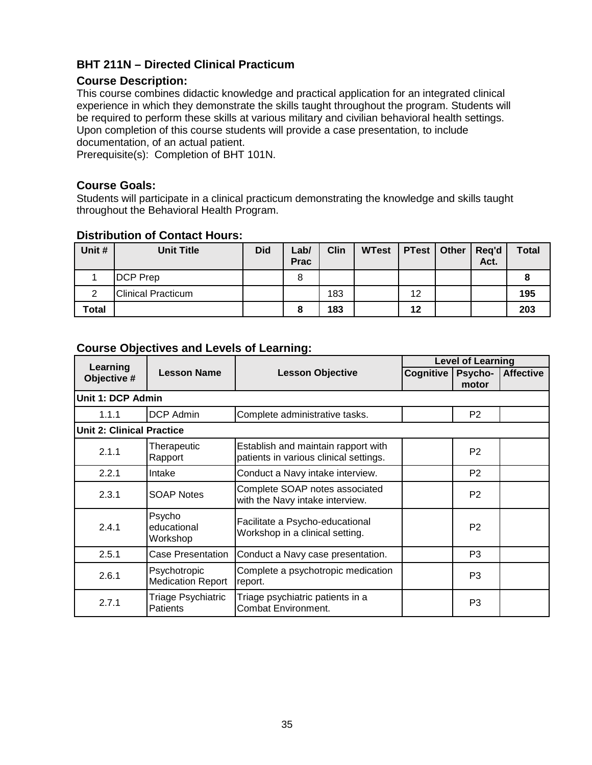# <span id="page-34-0"></span>**BHT 211N – Directed Clinical Practicum**

## **Course Description:**

This course combines didactic knowledge and practical application for an integrated clinical experience in which they demonstrate the skills taught throughout the program. Students will be required to perform these skills at various military and civilian behavioral health settings. Upon completion of this course students will provide a case presentation, to include documentation, of an actual patient.

Prerequisite(s): Completion of BHT 101N.

# **Course Goals:**

Students will participate in a clinical practicum demonstrating the knowledge and skills taught throughout the Behavioral Health Program.

| Unit # | <b>Unit Title</b>         | <b>Did</b> | Lab/<br><b>Prac</b> | <b>Clin</b> | <b>WTest</b> | <b>PTest</b>   Other | Reg'd<br>Act. | <b>Total</b> |
|--------|---------------------------|------------|---------------------|-------------|--------------|----------------------|---------------|--------------|
|        | <b>DCP</b> Prep           |            | 8                   |             |              |                      |               |              |
| 2      | <b>Clinical Practicum</b> |            |                     | 183         |              | 12                   |               | 195          |
| Total  |                           |            | 8                   | 183         |              | 12                   |               | 203          |

# **Distribution of Contact Hours:**

|                          |                                          |                                                                               | <b>Level of Learning</b> |                  |                  |  |  |  |  |
|--------------------------|------------------------------------------|-------------------------------------------------------------------------------|--------------------------|------------------|------------------|--|--|--|--|
| Learning<br>Objective #  | <b>Lesson Name</b>                       | <b>Lesson Objective</b>                                                       | Cognitive                | Psycho-<br>motor | <b>Affective</b> |  |  |  |  |
| <b>Unit 1: DCP Admin</b> |                                          |                                                                               |                          |                  |                  |  |  |  |  |
| 1.1.1                    | <b>DCP Admin</b>                         | Complete administrative tasks.                                                |                          | P <sub>2</sub>   |                  |  |  |  |  |
|                          | <b>Unit 2: Clinical Practice</b>         |                                                                               |                          |                  |                  |  |  |  |  |
| 2.1.1                    | Therapeutic<br>Rapport                   | Establish and maintain rapport with<br>patients in various clinical settings. |                          | P <sub>2</sub>   |                  |  |  |  |  |
| 2.2.1                    | Intake                                   | Conduct a Navy intake interview.                                              |                          | P <sub>2</sub>   |                  |  |  |  |  |
| 2.3.1                    | <b>SOAP Notes</b>                        | Complete SOAP notes associated<br>with the Navy intake interview.             |                          | P <sub>2</sub>   |                  |  |  |  |  |
| 2.4.1                    | Psycho<br>educational<br>Workshop        | Facilitate a Psycho-educational<br>Workshop in a clinical setting.            |                          | P <sub>2</sub>   |                  |  |  |  |  |
| 2.5.1                    | Case Presentation                        | Conduct a Navy case presentation.                                             |                          | P <sub>3</sub>   |                  |  |  |  |  |
| 2.6.1                    | Psychotropic<br><b>Medication Report</b> | Complete a psychotropic medication<br>report.                                 |                          | P <sub>3</sub>   |                  |  |  |  |  |
| 2.7.1                    | Triage Psychiatric<br><b>Patients</b>    | Triage psychiatric patients in a<br>Combat Environment.                       |                          | P <sub>3</sub>   |                  |  |  |  |  |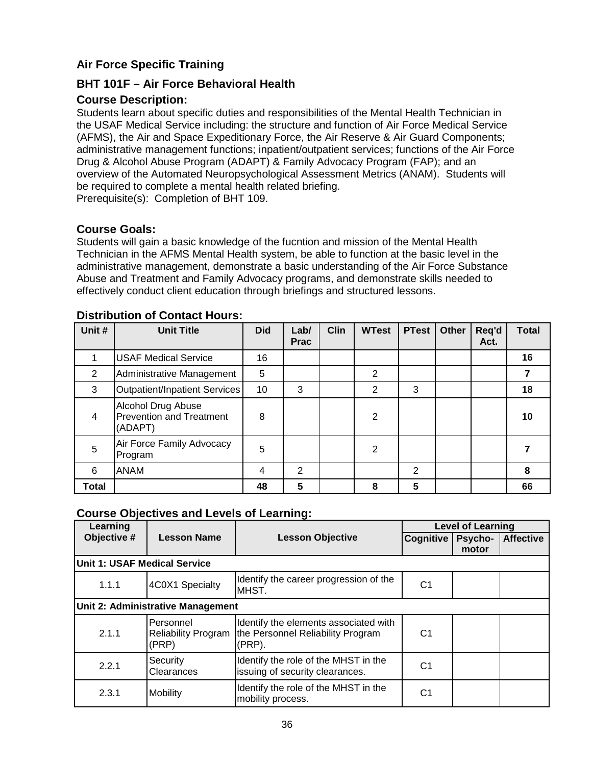# <span id="page-35-0"></span>**Air Force Specific Training**

# <span id="page-35-1"></span>**BHT 101F – Air Force Behavioral Health**

## **Course Description:**

Students learn about specific duties and responsibilities of the Mental Health Technician in the USAF Medical Service including: the structure and function of Air Force Medical Service (AFMS), the Air and Space Expeditionary Force, the Air Reserve & Air Guard Components; administrative management functions; inpatient/outpatient services; functions of the Air Force Drug & Alcohol Abuse Program (ADAPT) & Family Advocacy Program (FAP); and an overview of the Automated Neuropsychological Assessment Metrics (ANAM). Students will be required to complete a mental health related briefing.

Prerequisite(s): Completion of BHT 109.

# **Course Goals:**

Students will gain a basic knowledge of the fucntion and mission of the Mental Health Technician in the AFMS Mental Health system, be able to function at the basic level in the administrative management, demonstrate a basic understanding of the Air Force Substance Abuse and Treatment and Family Advocacy programs, and demonstrate skills needed to effectively conduct client education through briefings and structured lessons.

| Unit #          | <b>Unit Title</b>                                                | <b>Did</b> | Lab/<br><b>Prac</b> | <b>Clin</b> | <b>WTest</b>   | <b>PTest</b> | <b>Other</b> | Req'd<br>Act. | <b>Total</b> |
|-----------------|------------------------------------------------------------------|------------|---------------------|-------------|----------------|--------------|--------------|---------------|--------------|
|                 | <b>USAF Medical Service</b>                                      | 16         |                     |             |                |              |              |               | 16           |
| 2               | Administrative Management                                        | 5          |                     |             | 2              |              |              |               |              |
| 3               | Outpatient/Inpatient Services                                    | 10         | 3                   |             | 2              | 3            |              |               | 18           |
| 4               | Alcohol Drug Abuse<br><b>Prevention and Treatment</b><br>(ADAPT) | 8          |                     |             | $\overline{2}$ |              |              |               | 10           |
| $5\phantom{.0}$ | Air Force Family Advocacy<br>Program                             | 5          |                     |             | $\overline{2}$ |              |              |               |              |
| 6               | <b>ANAM</b>                                                      | 4          | 2                   |             |                | 2            |              |               | 8            |
| Total           |                                                                  | 48         | 5                   |             | 8              | 5            |              |               | 66           |

#### **Distribution of Contact Hours:**

| Learning                          |                                                  |                                                                                      | <b>Level of Learning</b> |         |                  |  |  |  |  |
|-----------------------------------|--------------------------------------------------|--------------------------------------------------------------------------------------|--------------------------|---------|------------------|--|--|--|--|
| Objective #                       | <b>Lesson Name</b>                               | <b>Lesson Objective</b>                                                              | <b>Cognitive</b>         | Psycho- | <b>Affective</b> |  |  |  |  |
|                                   |                                                  |                                                                                      |                          | motor   |                  |  |  |  |  |
| Unit 1: USAF Medical Service      |                                                  |                                                                                      |                          |         |                  |  |  |  |  |
| 1.1.1                             | 4C0X1 Specialty                                  | Identify the career progression of the<br>MHST.                                      | C <sub>1</sub>           |         |                  |  |  |  |  |
| Unit 2: Administrative Management |                                                  |                                                                                      |                          |         |                  |  |  |  |  |
| 2.1.1                             | Personnel<br><b>Reliability Program</b><br>(PRP) | Identify the elements associated with<br>the Personnel Reliability Program<br>(PRP). | C <sub>1</sub>           |         |                  |  |  |  |  |
| 2.2.1                             | Security<br>Clearances                           | Identify the role of the MHST in the<br>issuing of security clearances.              | C1                       |         |                  |  |  |  |  |
| 2.3.1                             | Mobility                                         | Identify the role of the MHST in the<br>mobility process.                            | C1                       |         |                  |  |  |  |  |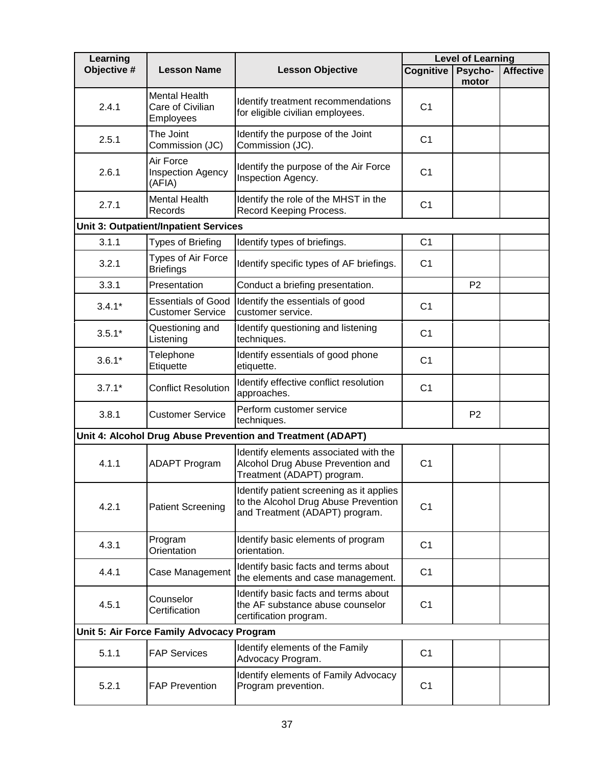| Learning    |                                                       |                                                                                                                    |                  | <b>Level of Learning</b> |                  |
|-------------|-------------------------------------------------------|--------------------------------------------------------------------------------------------------------------------|------------------|--------------------------|------------------|
| Objective # | <b>Lesson Name</b>                                    | <b>Lesson Objective</b>                                                                                            | <b>Cognitive</b> | Psycho-<br>motor         | <b>Affective</b> |
| 2.4.1       | <b>Mental Health</b><br>Care of Civilian<br>Employees | Identify treatment recommendations<br>for eligible civilian employees.                                             | C <sub>1</sub>   |                          |                  |
| 2.5.1       | The Joint<br>Commission (JC)                          | Identify the purpose of the Joint<br>Commission (JC).                                                              | C <sub>1</sub>   |                          |                  |
| 2.6.1       | Air Force<br><b>Inspection Agency</b><br>(AFIA)       | Identify the purpose of the Air Force<br>Inspection Agency.                                                        | C <sub>1</sub>   |                          |                  |
| 2.7.1       | <b>Mental Health</b><br>Records                       | Identify the role of the MHST in the<br>Record Keeping Process.                                                    | C <sub>1</sub>   |                          |                  |
|             | <b>Unit 3: Outpatient/Inpatient Services</b>          |                                                                                                                    |                  |                          |                  |
| 3.1.1       | Types of Briefing                                     | Identify types of briefings.                                                                                       | C <sub>1</sub>   |                          |                  |
| 3.2.1       | Types of Air Force<br><b>Briefings</b>                | Identify specific types of AF briefings.                                                                           | C <sub>1</sub>   |                          |                  |
| 3.3.1       | Presentation                                          | Conduct a briefing presentation.                                                                                   |                  | P <sub>2</sub>           |                  |
| $3.4.1*$    | <b>Essentials of Good</b><br><b>Customer Service</b>  | Identify the essentials of good<br>customer service.                                                               | C <sub>1</sub>   |                          |                  |
| $3.5.1*$    | Questioning and<br>Listening                          | Identify questioning and listening<br>techniques.                                                                  | C <sub>1</sub>   |                          |                  |
| $3.6.1*$    | Telephone<br>Etiquette                                | Identify essentials of good phone<br>etiquette.                                                                    | C <sub>1</sub>   |                          |                  |
| $3.7.1*$    | <b>Conflict Resolution</b>                            | Identify effective conflict resolution<br>approaches.                                                              | C <sub>1</sub>   |                          |                  |
| 3.8.1       | <b>Customer Service</b>                               | Perform customer service<br>techniques.                                                                            |                  | P <sub>2</sub>           |                  |
|             |                                                       | Unit 4: Alcohol Drug Abuse Prevention and Treatment (ADAPT)                                                        |                  |                          |                  |
| 4.1.1       | <b>ADAPT Program</b>                                  | Identify elements associated with the<br>Alcohol Drug Abuse Prevention and<br>Treatment (ADAPT) program.           | C <sub>1</sub>   |                          |                  |
| 4.2.1       | <b>Patient Screening</b>                              | Identify patient screening as it applies<br>to the Alcohol Drug Abuse Prevention<br>and Treatment (ADAPT) program. | C <sub>1</sub>   |                          |                  |
| 4.3.1       | Program<br>Orientation                                | Identify basic elements of program<br>orientation.                                                                 | C <sub>1</sub>   |                          |                  |
| 4.4.1       | Case Management                                       | Identify basic facts and terms about<br>the elements and case management.                                          | C <sub>1</sub>   |                          |                  |
| 4.5.1       | Counselor<br>Certification                            | Identify basic facts and terms about<br>the AF substance abuse counselor<br>certification program.                 | C <sub>1</sub>   |                          |                  |
|             | Unit 5: Air Force Family Advocacy Program             |                                                                                                                    |                  |                          |                  |
| 5.1.1       | <b>FAP Services</b>                                   | Identify elements of the Family<br>Advocacy Program.                                                               | C <sub>1</sub>   |                          |                  |
| 5.2.1       | <b>FAP Prevention</b>                                 | Identify elements of Family Advocacy<br>Program prevention.                                                        | C <sub>1</sub>   |                          |                  |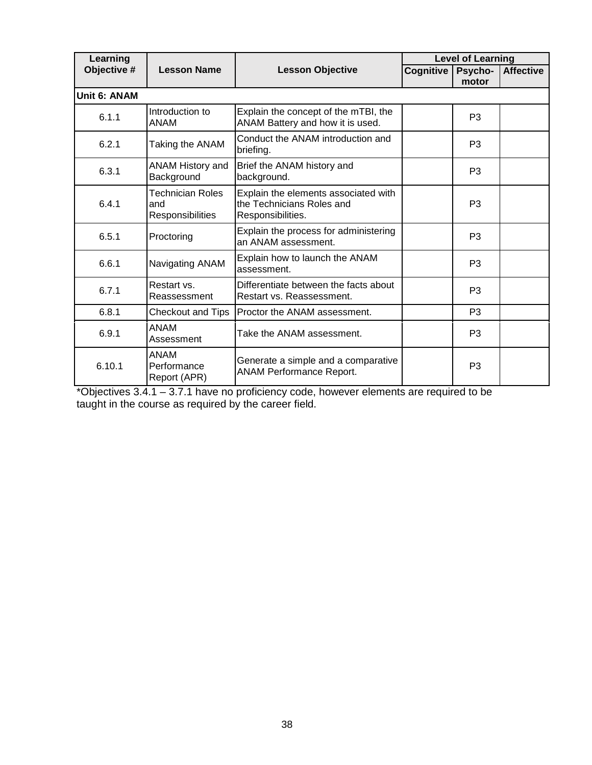| Learning     |                                             |                                                                                        | <b>Level of Learning</b> |                  |                  |  |  |
|--------------|---------------------------------------------|----------------------------------------------------------------------------------------|--------------------------|------------------|------------------|--|--|
| Objective #  | <b>Lesson Name</b>                          | <b>Lesson Objective</b>                                                                | Cognitive                | Psycho-<br>motor | <b>Affective</b> |  |  |
| Unit 6: ANAM |                                             |                                                                                        |                          |                  |                  |  |  |
| 6.1.1        | Introduction to<br><b>ANAM</b>              | Explain the concept of the mTBI, the<br>ANAM Battery and how it is used.               |                          | P <sub>3</sub>   |                  |  |  |
| 6.2.1        | Taking the ANAM                             | Conduct the ANAM introduction and<br>briefing.                                         |                          | P <sub>3</sub>   |                  |  |  |
| 6.3.1        | ANAM History and<br>Background              | Brief the ANAM history and<br>background.                                              |                          | P <sub>3</sub>   |                  |  |  |
| 6.4.1        | Technician Roles<br>and<br>Responsibilities | Explain the elements associated with<br>the Technicians Roles and<br>Responsibilities. |                          | P <sub>3</sub>   |                  |  |  |
| 6.5.1        | Proctoring                                  | Explain the process for administering<br>an ANAM assessment.                           |                          | P <sub>3</sub>   |                  |  |  |
| 6.6.1        | Navigating ANAM                             | Explain how to launch the ANAM<br>assessment.                                          |                          | P <sub>3</sub>   |                  |  |  |
| 6.7.1        | Restart vs.<br>Reassessment                 | Differentiate between the facts about<br>Restart vs. Reassessment.                     |                          | P <sub>3</sub>   |                  |  |  |
| 6.8.1        | Checkout and Tips                           | Proctor the ANAM assessment.                                                           |                          | P <sub>3</sub>   |                  |  |  |
| 6.9.1        | ANAM<br>Assessment                          | Take the ANAM assessment.                                                              |                          | P <sub>3</sub>   |                  |  |  |
| 6.10.1       | <b>ANAM</b><br>Performance<br>Report (APR)  | Generate a simple and a comparative<br><b>ANAM Performance Report.</b>                 |                          | P <sub>3</sub>   |                  |  |  |

\*Objectives 3.4.1 – 3.7.1 have no proficiency code, however elements are required to be taught in the course as required by the career field.